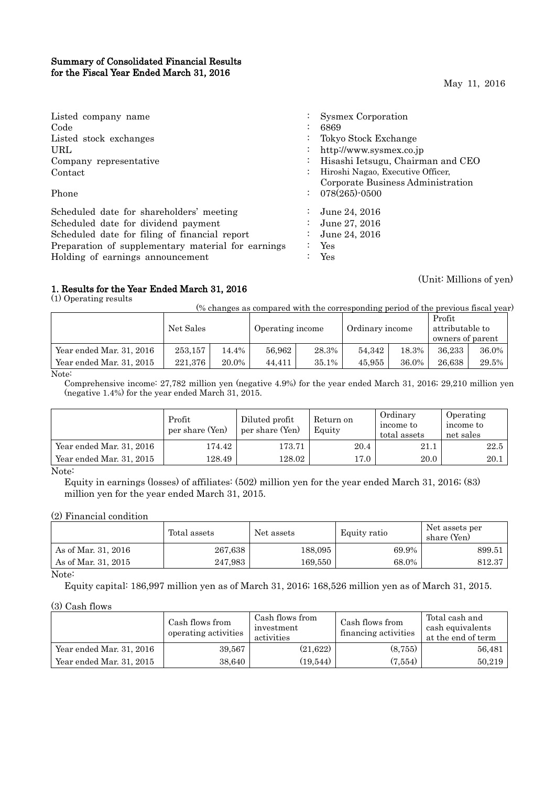## Summary of Consolidated Financial Results for the Fiscal Year Ended March 31, 2016

May 11, 2016

(Unit: Millions of yen)

| Listed company name<br>Code                        | Sysmex Corporation<br>6869        |
|----------------------------------------------------|-----------------------------------|
| Listed stock exchanges                             | Tokyo Stock Exchange              |
| URL.                                               | http://www.sysmex.co.jp           |
| Company representative                             | Hisashi Ietsugu, Chairman and CEO |
| Contact                                            | Hiroshi Nagao, Executive Officer, |
|                                                    | Corporate Business Administration |
| Phone                                              | $: 078(265) \cdot 0500$           |
| Scheduled date for shareholders' meeting           | June 24, 2016                     |
| Scheduled date for dividend payment                | June 27, 2016                     |
| Scheduled date for filing of financial report      | June 24, 2016                     |
| Preparation of supplementary material for earnings | Yes                               |
| Holding of earnings announcement                   | Yes                               |

# 1. Results for the Year Ended March 31, 2016

(1) Operating results

(% changes as compared with the corresponding period of the previous fiscal year)

|                           | Net Sales |       | Operating income |       | Ordinary income |       | Profit<br>attributable to<br>owners of parent |       |
|---------------------------|-----------|-------|------------------|-------|-----------------|-------|-----------------------------------------------|-------|
| Year ended Mar. 31, 2016  | 253.157   | 14.4% | 56.962           | 28.3% | 54.342          | 18.3% | 36,233                                        | 36.0% |
| Year ended Mar. 31, 2015  | 221.376   | 20.0% | 44.411           | 35.1% | 45,955          | 36.0% | 26.638                                        | 29.5% |
| $\mathbf{v}$ $\mathbf{v}$ |           |       |                  |       |                 |       |                                               |       |

Note:

Comprehensive income: 27,782 million yen (negative 4.9%) for the year ended March 31, 2016; 29,210 million yen (negative 1.4%) for the year ended March 31, 2015.

|                          | Profit<br>per share (Yen) | Diluted profit<br>per share (Yen) | Return on<br>Equity | Ordinary<br>income to<br>total assets | Operating<br>income to<br>net sales |
|--------------------------|---------------------------|-----------------------------------|---------------------|---------------------------------------|-------------------------------------|
| Year ended Mar. 31, 2016 | 174.42                    | 173.71                            | 20.4                | 21.1                                  | 22.5                                |
| Year ended Mar. 31, 2015 | 128.49                    | 128.02                            | 17.0                | 20.0                                  | 20.1                                |

Note:

Equity in earnings (losses) of affiliates: (502) million yen for the year ended March 31, 2016; (83) million yen for the year ended March 31, 2015.

### (2) Financial condition

|                     | Total assets | Net assets | Equity ratio | Net assets per<br>share (Yen) |
|---------------------|--------------|------------|--------------|-------------------------------|
| As of Mar. 31, 2016 | 267,638      | 188,095    | 69.9%        | 899.51                        |
| As of Mar. 31, 2015 | 247,983      | 169.550    | 68.0%        | 812.37                        |

Note:

Equity capital: 186,997 million yen as of March 31, 2016; 168,526 million yen as of March 31, 2015.

### (3) Cash flows

|                          | Cash flows from<br>operating activities | Cash flows from<br>investment<br>activities | Cash flows from<br>financing activities | Total cash and<br>cash equivalents<br>at the end of term |
|--------------------------|-----------------------------------------|---------------------------------------------|-----------------------------------------|----------------------------------------------------------|
| Year ended Mar. 31, 2016 | 39,567                                  | (21, 622)                                   | (8,755)                                 | 56,481                                                   |
| Year ended Mar. 31, 2015 | 38,640                                  | (19.544)                                    | (7, 554)                                | 50,219                                                   |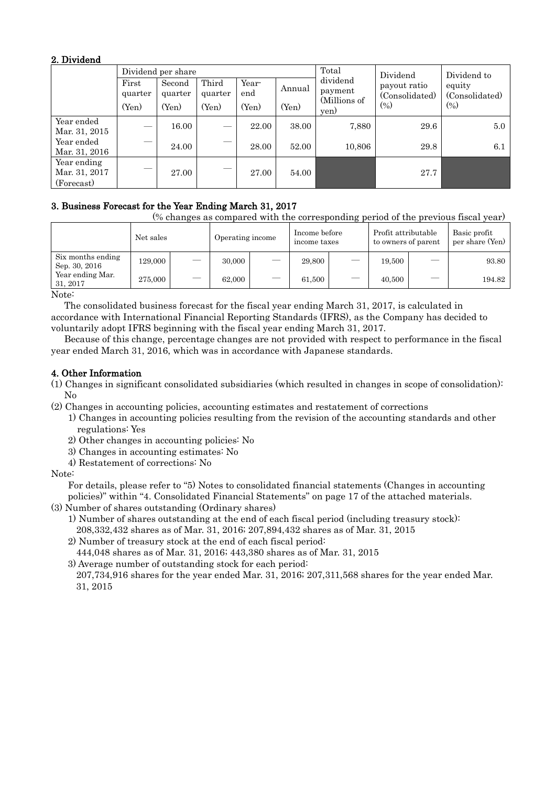## 2. Dividend

|               |         | Dividend per share |         |       | Total         | Dividend                | Dividend to    |                          |  |
|---------------|---------|--------------------|---------|-------|---------------|-------------------------|----------------|--------------------------|--|
|               | First   | Second             | Third   | Year- | Annual        | dividend                | payout ratio   | equity<br>(Consolidated) |  |
|               | quarter | quarter            | quarter | end   |               | payment<br>(Millions of | (Consolidated) |                          |  |
|               | (Yen)   | (Yen)              | (Yen)   | (Yen) | (Yen)<br>yen) | $(\% )$                 | (0/0)          |                          |  |
| Year ended    |         | 16.00              | –       | 22.00 | 38.00         | 7,880                   | 29.6           | 5.0                      |  |
| Mar. 31, 2015 |         |                    |         |       |               |                         |                |                          |  |
| Year ended    |         | 24.00              | —       | 28.00 | 52.00         | 10,806                  | 29.8           | 6.1                      |  |
| Mar. 31, 2016 |         |                    |         |       |               |                         |                |                          |  |
| Year ending   |         |                    |         |       |               |                         |                |                          |  |
| Mar. 31, 2017 | _       | 27.00              |         | 27.00 | 54.00         |                         | 27.7           |                          |  |
| (Forecast)    |         |                    |         |       |               |                         |                |                          |  |

# 3. Business Forecast for the Year Ending March 31, 2017

(% changes as compared with the corresponding period of the previous fiscal year)

|                                                     | Net sales |   | Operating income |   | Income before<br>income taxes |   | Profit attributable<br>to owners of parent |    | Basic profit<br>per share (Yen) |
|-----------------------------------------------------|-----------|---|------------------|---|-------------------------------|---|--------------------------------------------|----|---------------------------------|
| Six months ending<br>Sep. 30, 2016                  | 129.000   | - | 30,000           | - | 29,800                        |   | 19,500                                     | -- | 93.80                           |
| Year ending Mar.<br>31, 2017                        | 275,000   |   | 62.000           |   | 61,500                        | — | 40,500                                     |    | 194.82                          |
| $\mathbf{X}$ $\mathbf{Y}$ $\mathbf{Y}$ $\mathbf{Y}$ |           |   |                  |   |                               |   |                                            |    |                                 |

Note:

The consolidated business forecast for the fiscal year ending March 31, 2017, is calculated in accordance with International Financial Reporting Standards (IFRS), as the Company has decided to voluntarily adopt IFRS beginning with the fiscal year ending March 31, 2017.

Because of this change, percentage changes are not provided with respect to performance in the fiscal year ended March 31, 2016, which was in accordance with Japanese standards.

# 4. Other Information

- (1) Changes in significant consolidated subsidiaries (which resulted in changes in scope of consolidation): No
- (2) Changes in accounting policies, accounting estimates and restatement of corrections
	- 1) Changes in accounting policies resulting from the revision of the accounting standards and other regulations: Yes
		- 2) Other changes in accounting policies: No
		- 3) Changes in accounting estimates: No
		- 4) Restatement of corrections: No

### Note:

For details, please refer to "5) Notes to consolidated financial statements (Changes in accounting policies)" within "4. Consolidated Financial Statements" on page 17 of the attached materials.

- (3) Number of shares outstanding (Ordinary shares)
	- 1) Number of shares outstanding at the end of each fiscal period (including treasury stock): 208,332,432 shares as of Mar. 31, 2016; 207,894,432 shares as of Mar. 31, 2015
	- 2) Number of treasury stock at the end of each fiscal period:
	- 444,048 shares as of Mar. 31, 2016; 443,380 shares as of Mar. 31, 2015
	- 3) Average number of outstanding stock for each period: 207,734,916 shares for the year ended Mar. 31, 2016; 207,311,568 shares for the year ended Mar. 31, 2015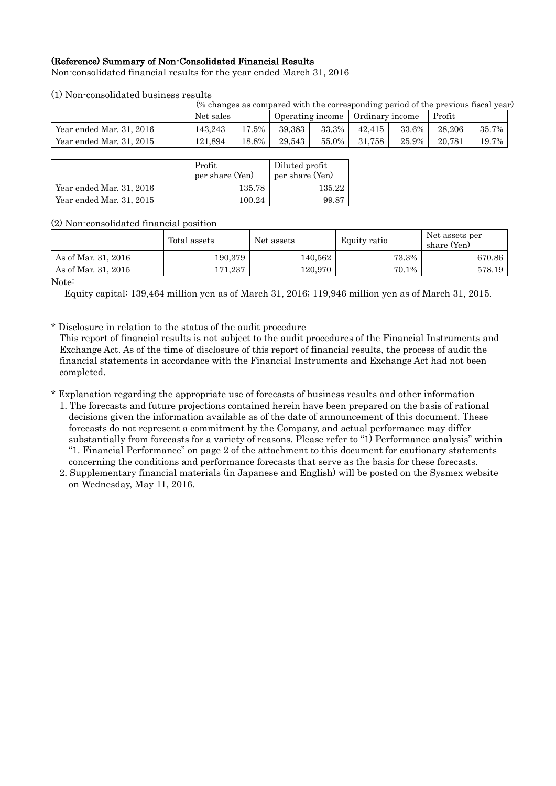# (Reference) Summary of Non-Consolidated Financial Results

Non-consolidated financial results for the year ended March 31, 2016

### (1) Non-consolidated business results

| (% changes as compared with the corresponding period of the previous fiscal year) |         |           |        |                  |        |                 |        |       |  |  |
|-----------------------------------------------------------------------------------|---------|-----------|--------|------------------|--------|-----------------|--------|-------|--|--|
|                                                                                   |         | Net sales |        | Operating income |        | Ordinary income |        |       |  |  |
| Year ended Mar. 31, 2016                                                          | 143.243 | 17.5%     | 39,383 | 33.3%            | 42.415 | 33.6%           | 28.206 | 35.7% |  |  |
| Year ended Mar. 31, 2015                                                          | 121.894 | 18.8%     | 29.543 | 55.0%            | 31.758 | $25.9\%$        | 20.781 | 19.7% |  |  |
|                                                                                   |         |           |        |                  |        |                 |        |       |  |  |

|                          | Profit<br>per share (Yen) | Diluted profit<br>per share (Yen) |
|--------------------------|---------------------------|-----------------------------------|
| Year ended Mar. 31, 2016 | 135.78                    | 135.22                            |
| Year ended Mar. 31, 2015 | 100.24                    | 99.87                             |

### (2) Non-consolidated financial position

|                             | Total assets | Net assets | Equity ratio | Net assets per<br>share (Yen) |
|-----------------------------|--------------|------------|--------------|-------------------------------|
| As of Mar. 31, 2016         | 190.379      | 140,562    | 73.3%        | 670.86                        |
| As of Mar. 31, 2015         | 171.237      | 120.970    | 70.1%        | 578.19                        |
| $\sim$ $\sim$ $\sim$ $\sim$ |              |            |              |                               |

Note:

Equity capital: 139,464 million yen as of March 31, 2016; 119,946 million yen as of March 31, 2015.

\* Disclosure in relation to the status of the audit procedure

This report of financial results is not subject to the audit procedures of the Financial Instruments and Exchange Act. As of the time of disclosure of this report of financial results, the process of audit the financial statements in accordance with the Financial Instruments and Exchange Act had not been completed.

- \* Explanation regarding the appropriate use of forecasts of business results and other information 1. The forecasts and future projections contained herein have been prepared on the basis of rational decisions given the information available as of the date of announcement of this document. These forecasts do not represent a commitment by the Company, and actual performance may differ substantially from forecasts for a variety of reasons. Please refer to "1) Performance analysis" within "1. Financial Performance" on page 2 of the attachment to this document for cautionary statements concerning the conditions and performance forecasts that serve as the basis for these forecasts.
	- 2. Supplementary financial materials (in Japanese and English) will be posted on the Sysmex website on Wednesday, May 11, 2016.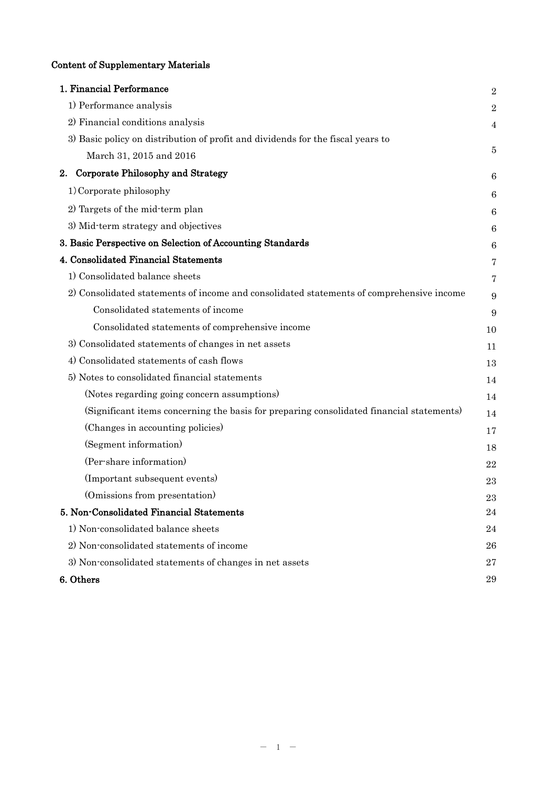# Content of Supplementary Materials

| 1. Financial Performance                                                                 | $\overline{2}$   |
|------------------------------------------------------------------------------------------|------------------|
| 1) Performance analysis                                                                  | $\boldsymbol{2}$ |
| 2) Financial conditions analysis                                                         | $\overline{4}$   |
| 3) Basic policy on distribution of profit and dividends for the fiscal years to          |                  |
| March 31, 2015 and 2016                                                                  | 5                |
| Corporate Philosophy and Strategy<br>2.                                                  | 6                |
| 1) Corporate philosophy                                                                  | 6                |
| 2) Targets of the mid-term plan                                                          | 6                |
| 3) Mid-term strategy and objectives                                                      | 6                |
| 3. Basic Perspective on Selection of Accounting Standards                                | 6                |
| 4. Consolidated Financial Statements                                                     | 7                |
| 1) Consolidated balance sheets                                                           | 7                |
| 2) Consolidated statements of income and consolidated statements of comprehensive income | 9                |
| Consolidated statements of income                                                        | 9                |
| Consolidated statements of comprehensive income                                          | 10               |
| 3) Consolidated statements of changes in net assets                                      | 11               |
| 4) Consolidated statements of cash flows                                                 | 13               |
| 5) Notes to consolidated financial statements                                            | 14               |
| (Notes regarding going concern assumptions)                                              | 14               |
| (Significant items concerning the basis for preparing consolidated financial statements) | 14               |
| (Changes in accounting policies)                                                         | 17               |
| (Segment information)                                                                    | 18               |
| (Per-share information)                                                                  | 22               |
| (Important subsequent events)                                                            | 23               |
| (Omissions from presentation)                                                            | 23               |
| 5. Non-Consolidated Financial Statements                                                 | 24               |
| 1) Non-consolidated balance sheets                                                       | 24               |
| 2) Non-consolidated statements of income                                                 | 26               |
| 3) Non-consolidated statements of changes in net assets                                  | 27               |
| 6. Others                                                                                | 29               |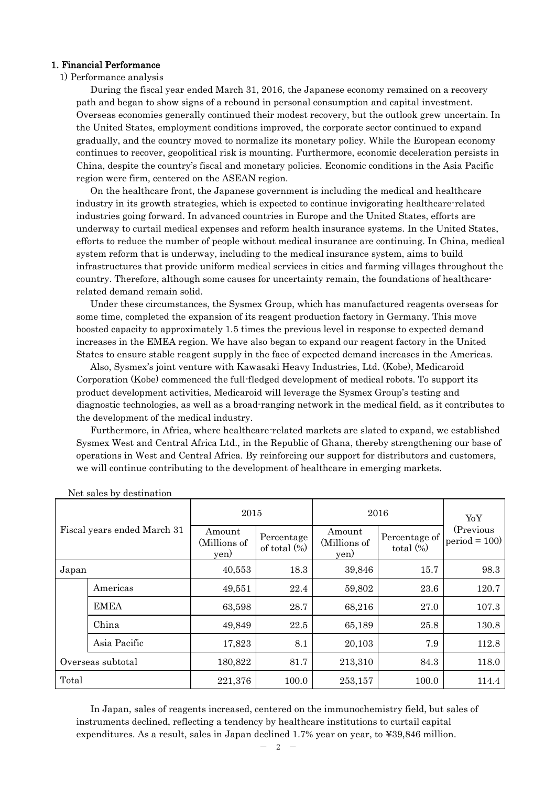### 1. Financial Performance

### 1) Performance analysis

During the fiscal year ended March 31, 2016, the Japanese economy remained on a recovery path and began to show signs of a rebound in personal consumption and capital investment. Overseas economies generally continued their modest recovery, but the outlook grew uncertain. In the United States, employment conditions improved, the corporate sector continued to expand gradually, and the country moved to normalize its monetary policy. While the European economy continues to recover, geopolitical risk is mounting. Furthermore, economic deceleration persists in China, despite the country's fiscal and monetary policies. Economic conditions in the Asia Pacific region were firm, centered on the ASEAN region.

On the healthcare front, the Japanese government is including the medical and healthcare industry in its growth strategies, which is expected to continue invigorating healthcare-related industries going forward. In advanced countries in Europe and the United States, efforts are underway to curtail medical expenses and reform health insurance systems. In the United States, efforts to reduce the number of people without medical insurance are continuing. In China, medical system reform that is underway, including to the medical insurance system, aims to build infrastructures that provide uniform medical services in cities and farming villages throughout the country. Therefore, although some causes for uncertainty remain, the foundations of healthcarerelated demand remain solid.

Under these circumstances, the Sysmex Group, which has manufactured reagents overseas for some time, completed the expansion of its reagent production factory in Germany. This move boosted capacity to approximately 1.5 times the previous level in response to expected demand increases in the EMEA region. We have also began to expand our reagent factory in the United States to ensure stable reagent supply in the face of expected demand increases in the Americas.

Also, Sysmex's joint venture with Kawasaki Heavy Industries, Ltd. (Kobe), Medicaroid Corporation (Kobe) commenced the full-fledged development of medical robots. To support its product development activities, Medicaroid will leverage the Sysmex Group's testing and diagnostic technologies, as well as a broad-ranging network in the medical field, as it contributes to the development of the medical industry.

Furthermore, in Africa, where healthcare-related markets are slated to expand, we established Sysmex West and Central Africa Ltd., in the Republic of Ghana, thereby strengthening our base of operations in West and Central Africa. By reinforcing our support for distributors and customers, we will continue contributing to the development of healthcare in emerging markets.

| Fiscal years ended March 31 |              | 2015                           |                                                                 | 2016    | YoY                           |                              |
|-----------------------------|--------------|--------------------------------|-----------------------------------------------------------------|---------|-------------------------------|------------------------------|
|                             |              | Amount<br>(Millions of<br>yen) | Amount<br>Percentage<br>(Millions of<br>of total $(\%)$<br>yen) |         | Percentage of<br>total $(\%)$ | (Previous)<br>$period = 100$ |
| Japan                       |              | 40,553                         | 18.3                                                            | 39,846  | 15.7                          | 98.3                         |
|                             | Americas     | 49,551                         | 22.4                                                            | 59,802  | 23.6                          | 120.7                        |
|                             | <b>EMEA</b>  | 63,598                         | 28.7                                                            | 68,216  | 27.0                          | 107.3                        |
|                             | China        | 49,849                         | 22.5                                                            | 65,189  | 25.8                          | 130.8                        |
|                             | Asia Pacific | 17,823                         | 8.1                                                             | 20,103  | 7.9                           | 112.8                        |
| Overseas subtotal           |              | 180,822                        | 81.7                                                            | 213,310 | 84.3                          | 118.0                        |
| Total                       |              | 221,376                        | 100.0                                                           | 253,157 | 100.0                         | 114.4                        |

Net sales by destination

In Japan, sales of reagents increased, centered on the immunochemistry field, but sales of instruments declined, reflecting a tendency by healthcare institutions to curtail capital expenditures. As a result, sales in Japan declined 1.7% year on year, to ¥39,846 million.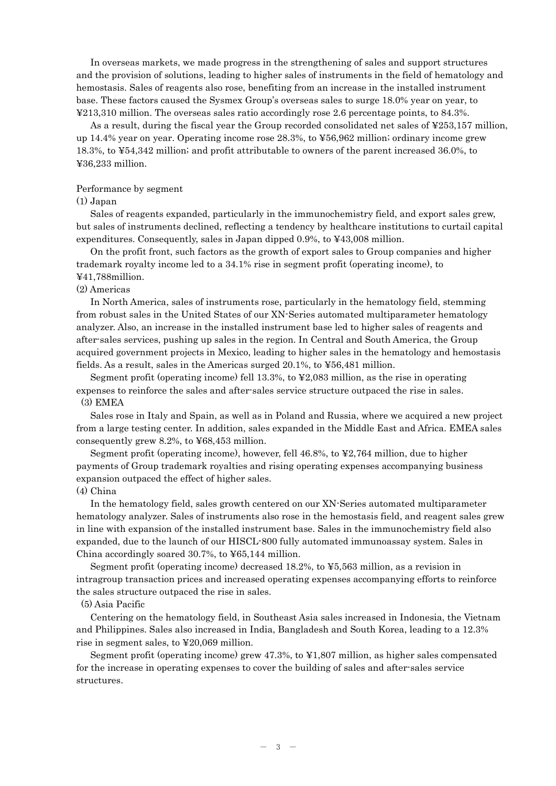In overseas markets, we made progress in the strengthening of sales and support structures and the provision of solutions, leading to higher sales of instruments in the field of hematology and hemostasis. Sales of reagents also rose, benefiting from an increase in the installed instrument base. These factors caused the Sysmex Group's overseas sales to surge 18.0% year on year, to ¥213,310 million. The overseas sales ratio accordingly rose 2.6 percentage points, to 84.3%.

As a result, during the fiscal year the Group recorded consolidated net sales of ¥253,157 million, up 14.4% year on year. Operating income rose 28.3%, to ¥56,962 million; ordinary income grew 18.3%, to ¥54,342 million; and profit attributable to owners of the parent increased 36.0%, to ¥36,233 million.

### Performance by segment

### (1) Japan

Sales of reagents expanded, particularly in the immunochemistry field, and export sales grew, but sales of instruments declined, reflecting a tendency by healthcare institutions to curtail capital expenditures. Consequently, sales in Japan dipped 0.9%, to ¥43,008 million.

On the profit front, such factors as the growth of export sales to Group companies and higher trademark royalty income led to a 34.1% rise in segment profit (operating income), to ¥41,788million.

#### (2) Americas

In North America, sales of instruments rose, particularly in the hematology field, stemming from robust sales in the United States of our XN-Series automated multiparameter hematology analyzer. Also, an increase in the installed instrument base led to higher sales of reagents and after-sales services, pushing up sales in the region. In Central and South America, the Group acquired government projects in Mexico, leading to higher sales in the hematology and hemostasis fields. As a result, sales in the Americas surged 20.1%, to ¥56,481 million.

Segment profit (operating income) fell 13.3%, to ¥2,083 million, as the rise in operating expenses to reinforce the sales and after-sales service structure outpaced the rise in sales. (3) EMEA

Sales rose in Italy and Spain, as well as in Poland and Russia, where we acquired a new project from a large testing center. In addition, sales expanded in the Middle East and Africa. EMEA sales consequently grew 8.2%, to ¥68,453 million.

Segment profit (operating income), however, fell 46.8%, to ¥2,764 million, due to higher payments of Group trademark royalties and rising operating expenses accompanying business expansion outpaced the effect of higher sales.

### (4) China

In the hematology field, sales growth centered on our XN-Series automated multiparameter hematology analyzer. Sales of instruments also rose in the hemostasis field, and reagent sales grew in line with expansion of the installed instrument base. Sales in the immunochemistry field also expanded, due to the launch of our HISCL-800 fully automated immunoassay system. Sales in China accordingly soared 30.7%, to ¥65,144 million.

Segment profit (operating income) decreased 18.2%, to ¥5,563 million, as a revision in intragroup transaction prices and increased operating expenses accompanying efforts to reinforce the sales structure outpaced the rise in sales.

#### (5) Asia Pacific

Centering on the hematology field, in Southeast Asia sales increased in Indonesia, the Vietnam and Philippines. Sales also increased in India, Bangladesh and South Korea, leading to a 12.3% rise in segment sales, to ¥20,069 million.

Segment profit (operating income) grew 47.3%, to ¥1,807 million, as higher sales compensated for the increase in operating expenses to cover the building of sales and after-sales service structures.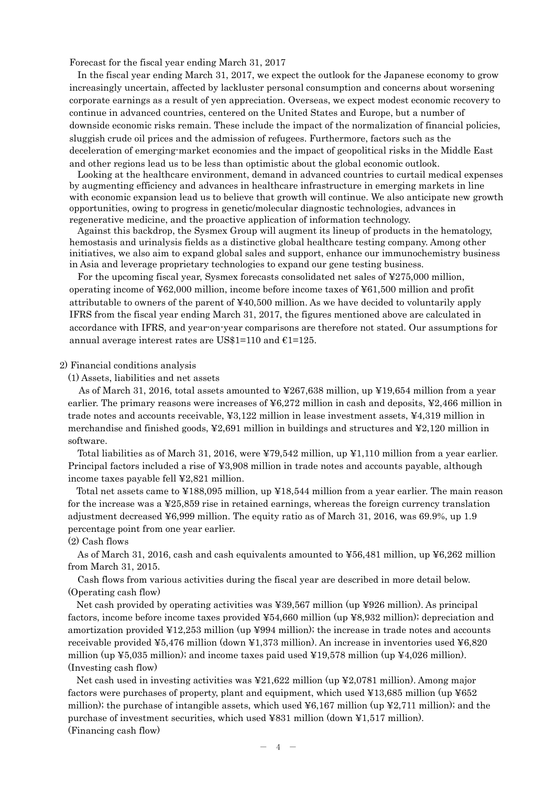Forecast for the fiscal year ending March 31, 2017

In the fiscal year ending March 31, 2017, we expect the outlook for the Japanese economy to grow increasingly uncertain, affected by lackluster personal consumption and concerns about worsening corporate earnings as a result of yen appreciation. Overseas, we expect modest economic recovery to continue in advanced countries, centered on the United States and Europe, but a number of downside economic risks remain. These include the impact of the normalization of financial policies, sluggish crude oil prices and the admission of refugees. Furthermore, factors such as the deceleration of emerging-market economies and the impact of geopolitical risks in the Middle East and other regions lead us to be less than optimistic about the global economic outlook.

Looking at the healthcare environment, demand in advanced countries to curtail medical expenses by augmenting efficiency and advances in healthcare infrastructure in emerging markets in line with economic expansion lead us to believe that growth will continue. We also anticipate new growth opportunities, owing to progress in genetic/molecular diagnostic technologies, advances in regenerative medicine, and the proactive application of information technology.

Against this backdrop, the Sysmex Group will augment its lineup of products in the hematology, hemostasis and urinalysis fields as a distinctive global healthcare testing company. Among other initiatives, we also aim to expand global sales and support, enhance our immunochemistry business in Asia and leverage proprietary technologies to expand our gene testing business.

For the upcoming fiscal year, Sysmex forecasts consolidated net sales of ¥275,000 million, operating income of ¥62,000 million, income before income taxes of ¥61,500 million and profit attributable to owners of the parent of ¥40,500 million. As we have decided to voluntarily apply IFRS from the fiscal year ending March 31, 2017, the figures mentioned above are calculated in accordance with IFRS, and year-on-year comparisons are therefore not stated. Our assumptions for annual average interest rates are US\$1=110 and  $E1=125$ .

### 2) Financial conditions analysis

(1) Assets, liabilities and net assets

As of March 31, 2016, total assets amounted to ¥267,638 million, up ¥19,654 million from a year earlier. The primary reasons were increases of ¥6,272 million in cash and deposits, ¥2,466 million in trade notes and accounts receivable, ¥3,122 million in lease investment assets, ¥4,319 million in merchandise and finished goods, ¥2,691 million in buildings and structures and ¥2,120 million in software.

Total liabilities as of March 31, 2016, were ¥79,542 million, up ¥1,110 million from a year earlier. Principal factors included a rise of ¥3,908 million in trade notes and accounts payable, although income taxes payable fell ¥2,821 million.

Total net assets came to ¥188,095 million, up ¥18,544 million from a year earlier. The main reason for the increase was a ¥25,859 rise in retained earnings, whereas the foreign currency translation adjustment decreased ¥6,999 million. The equity ratio as of March 31, 2016, was 69.9%, up 1.9 percentage point from one year earlier.

(2) Cash flows

As of March 31, 2016, cash and cash equivalents amounted to ¥56,481 million, up ¥6,262 million from March 31, 2015.

Cash flows from various activities during the fiscal year are described in more detail below. (Operating cash flow)

Net cash provided by operating activities was ¥39,567 million (up ¥926 million). As principal factors, income before income taxes provided ¥54,660 million (up ¥8,932 million); depreciation and amortization provided ¥12,253 million (up ¥994 million); the increase in trade notes and accounts receivable provided ¥5,476 million (down ¥1,373 million). An increase in inventories used ¥6,820 million (up  $\text{\textless}=5,035$  million); and income taxes paid used  $\text{\textless}=19,578$  million (up  $\text{\textless}=4,026$  million). (Investing cash flow)

Net cash used in investing activities was ¥21,622 million (up ¥2,0781 million). Among major factors were purchases of property, plant and equipment, which used ¥13,685 million (up ¥652 million); the purchase of intangible assets, which used  $\frac{1}{6}$  million (up  $\frac{1}{2}$ , 711 million); and the purchase of investment securities, which used ¥831 million (down ¥1,517 million). (Financing cash flow)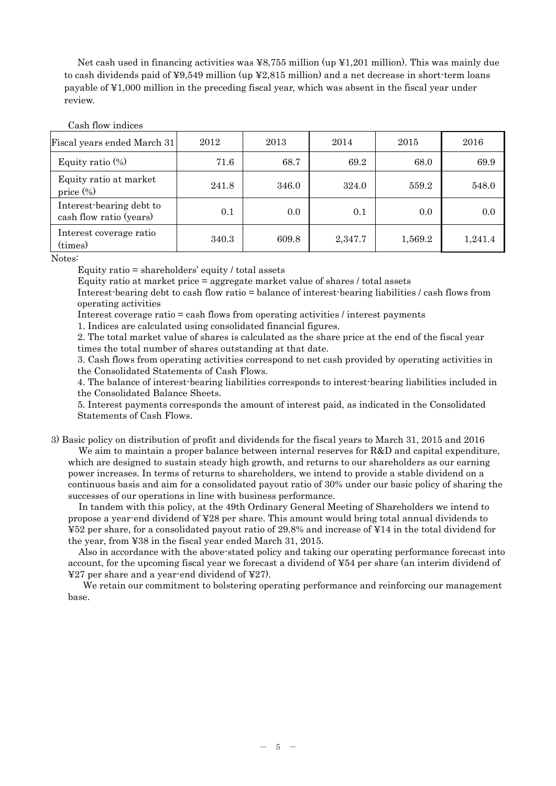Net cash used in financing activities was ¥8,755 million (up ¥1,201 million). This was mainly due to cash dividends paid of  $\frac{49,549}{2}$  million (up  $\frac{42,815}{2}$  million) and a net decrease in short-term loans payable of ¥1,000 million in the preceding fiscal year, which was absent in the fiscal year under review.

### Cash flow indices

| Fiscal years ended March 31                         | 2012  | 2013  | 2014    | 2015    | 2016    |
|-----------------------------------------------------|-------|-------|---------|---------|---------|
| Equity ratio $(\%)$                                 | 71.6  | 68.7  | 69.2    | 68.0    | 69.9    |
| Equity ratio at market<br>price $(\%)$              | 241.8 | 346.0 | 324.0   | 559.2   | 548.0   |
| Interest-bearing debt to<br>cash flow ratio (years) | 0.1   | 0.0   | 0.1     | 0.0     | 0.0     |
| Interest coverage ratio<br>(times)                  | 340.3 | 609.8 | 2,347.7 | 1,569.2 | 1,241.4 |

#### Notes:

Equity ratio = shareholders' equity / total assets

Equity ratio at market price = aggregate market value of shares / total assets

Interest-bearing debt to cash flow ratio = balance of interest-bearing liabilities / cash flows from operating activities

Interest coverage ratio = cash flows from operating activities / interest payments

1. Indices are calculated using consolidated financial figures.

2. The total market value of shares is calculated as the share price at the end of the fiscal year times the total number of shares outstanding at that date.

3. Cash flows from operating activities correspond to net cash provided by operating activities in the Consolidated Statements of Cash Flows.

4. The balance of interest-bearing liabilities corresponds to interest-bearing liabilities included in the Consolidated Balance Sheets.

5. Interest payments corresponds the amount of interest paid, as indicated in the Consolidated Statements of Cash Flows.

3) Basic policy on distribution of profit and dividends for the fiscal years to March 31, 2015 and 2016

We aim to maintain a proper balance between internal reserves for R&D and capital expenditure, which are designed to sustain steady high growth, and returns to our shareholders as our earning power increases. In terms of returns to shareholders, we intend to provide a stable dividend on a continuous basis and aim for a consolidated payout ratio of 30% under our basic policy of sharing the successes of our operations in line with business performance.

In tandem with this policy, at the 49th Ordinary General Meeting of Shareholders we intend to propose a year-end dividend of ¥28 per share. This amount would bring total annual dividends to ¥52 per share, for a consolidated payout ratio of 29.8% and increase of ¥14 in the total dividend for the year, from ¥38 in the fiscal year ended March 31, 2015.

Also in accordance with the above-stated policy and taking our operating performance forecast into account, for the upcoming fiscal year we forecast a dividend of ¥54 per share (an interim dividend of ¥27 per share and a year-end dividend of ¥27).

We retain our commitment to bolstering operating performance and reinforcing our management base.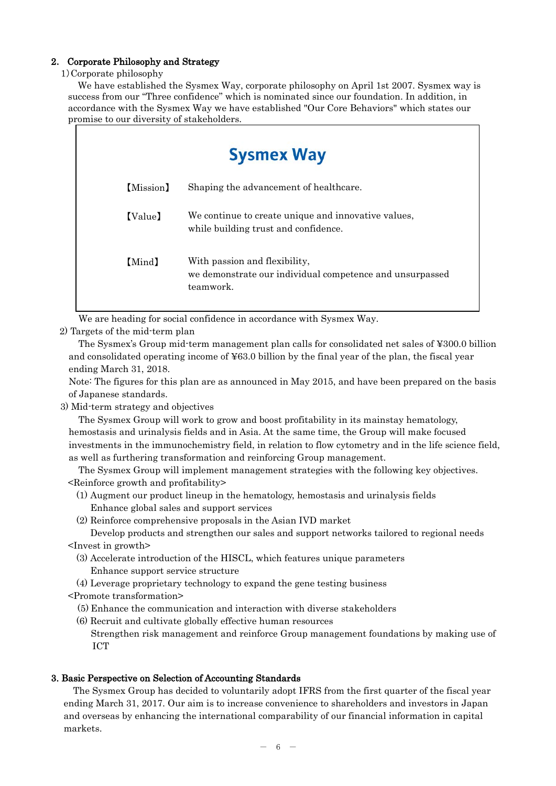# 2. Corporate Philosophy and Strategy

### 1)Corporate philosophy

We have established the Sysmex Way, corporate philosophy on April 1st 2007. Sysmex way is success from our "Three confidence" which is nominated since our foundation. In addition, in accordance with the Sysmex Way we have established "Our Core Behaviors" which states our promise to our diversity of stakeholders.

|           | <b>Sysmex Way</b>                                                                                      |  |  |  |  |  |  |
|-----------|--------------------------------------------------------------------------------------------------------|--|--|--|--|--|--|
| [Mission] | Shaping the advancement of healthcare.                                                                 |  |  |  |  |  |  |
| [Value]   | We continue to create unique and innovative values,<br>while building trust and confidence.            |  |  |  |  |  |  |
| [Mind]    | With passion and flexibility,<br>we demonstrate our individual competence and unsurpassed<br>teamwork. |  |  |  |  |  |  |

We are heading for social confidence in accordance with Sysmex Way.

2) Targets of the mid-term plan

The Sysmex's Group mid-term management plan calls for consolidated net sales of ¥300.0 billion and consolidated operating income of ¥63.0 billion by the final year of the plan, the fiscal year ending March 31, 2018.

Note: The figures for this plan are as announced in May 2015, and have been prepared on the basis of Japanese standards.

3) Mid-term strategy and objectives

The Sysmex Group will work to grow and boost profitability in its mainstay hematology, hemostasis and urinalysis fields and in Asia. At the same time, the Group will make focused investments in the immunochemistry field, in relation to flow cytometry and in the life science field, as well as furthering transformation and reinforcing Group management.

The Sysmex Group will implement management strategies with the following key objectives. <Reinforce growth and profitability>

- (1) Augment our product lineup in the hematology, hemostasis and urinalysis fields Enhance global sales and support services
- (2) Reinforce comprehensive proposals in the Asian IVD market

Develop products and strengthen our sales and support networks tailored to regional needs <Invest in growth>

- (3) Accelerate introduction of the HISCL, which features unique parameters Enhance support service structure
- (4) Leverage proprietary technology to expand the gene testing business
- <Promote transformation>
	- (5) Enhance the communication and interaction with diverse stakeholders
	- (6) Recruit and cultivate globally effective human resources Strengthen risk management and reinforce Group management foundations by making use of ICT

### 3. Basic Perspective on Selection of Accounting Standards

The Sysmex Group has decided to voluntarily adopt IFRS from the first quarter of the fiscal year ending March 31, 2017. Our aim is to increase convenience to shareholders and investors in Japan and overseas by enhancing the international comparability of our financial information in capital markets.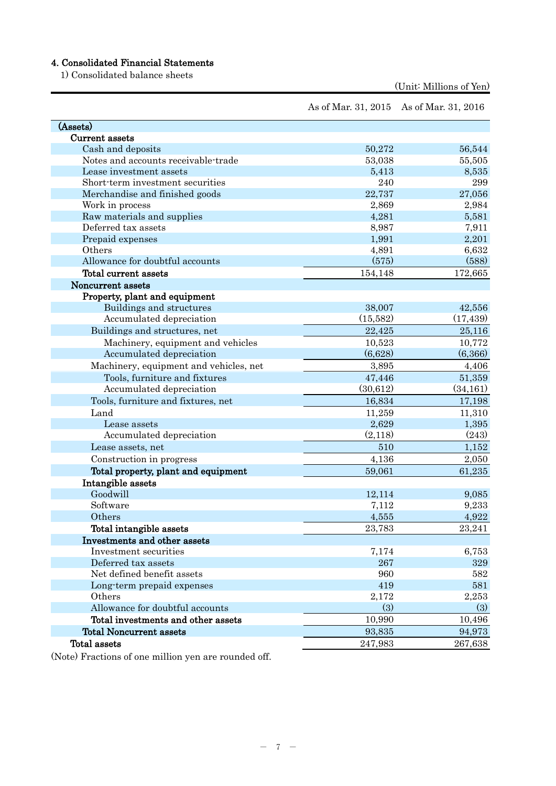# 4. Consolidated Financial Statements

1) Consolidated balance sheets

(Unit: Millions of Yen)

| As of Mar. 31, 2015 As of Mar. 31, 2016 |  |  |
|-----------------------------------------|--|--|
|-----------------------------------------|--|--|

| (Assets)                               |           |           |
|----------------------------------------|-----------|-----------|
| Current assets                         |           |           |
| Cash and deposits                      | 50,272    | 56,544    |
| Notes and accounts receivable-trade    | 53,038    | 55,505    |
| Lease investment assets                | 5,413     | 8,535     |
| Short-term investment securities       | 240       | 299       |
| Merchandise and finished goods         | 22,737    | 27,056    |
| Work in process                        | 2,869     | 2,984     |
| Raw materials and supplies             | 4,281     | 5,581     |
| Deferred tax assets                    | 8,987     | 7,911     |
| Prepaid expenses                       | 1,991     | 2,201     |
| Others                                 | 4,891     | 6,632     |
| Allowance for doubtful accounts        | (575)     | (588)     |
| Total current assets                   | 154,148   | 172,665   |
| Noncurrent assets                      |           |           |
| Property, plant and equipment          |           |           |
| Buildings and structures               | 38,007    | 42,556    |
| Accumulated depreciation               | (15, 582) | (17, 439) |
| Buildings and structures, net          | 22,425    | 25,116    |
| Machinery, equipment and vehicles      | 10,523    | 10,772    |
| Accumulated depreciation               | (6,628)   | (6,366)   |
| Machinery, equipment and vehicles, net | 3,895     | 4,406     |
| Tools, furniture and fixtures          | 47,446    | 51,359    |
| Accumulated depreciation               | (30,612)  | (34, 161) |
| Tools, furniture and fixtures, net     | 16,834    | 17,198    |
| Land                                   | 11,259    | 11,310    |
| Lease assets                           | 2,629     | 1,395     |
| Accumulated depreciation               | (2,118)   | (243)     |
| Lease assets, net                      | 510       | 1,152     |
| Construction in progress               | 4,136     | 2,050     |
| Total property, plant and equipment    | 59,061    | 61,235    |
| Intangible assets                      |           |           |
| Goodwill                               | 12,114    | 9,085     |
| Software                               | 7,112     | 9,233     |
| Others                                 | 4,555     | 4,922     |
| Total intangible assets                | 23,783    | 23,241    |
| Investments and other assets           |           |           |
| Investment securities                  | 7,174     | 6,753     |
| Deferred tax assets                    | 267       | 329       |
| Net defined benefit assets             | 960       | 582       |
| Long-term prepaid expenses             | 419       | 581       |
| Others                                 | 2,172     | 2,253     |
| Allowance for doubtful accounts        | (3)       | (3)       |
| Total investments and other assets     | 10,990    | 10,496    |
| <b>Total Noncurrent assets</b>         | 93,835    | 94,973    |
| Total assets                           | 247,983   | 267,638   |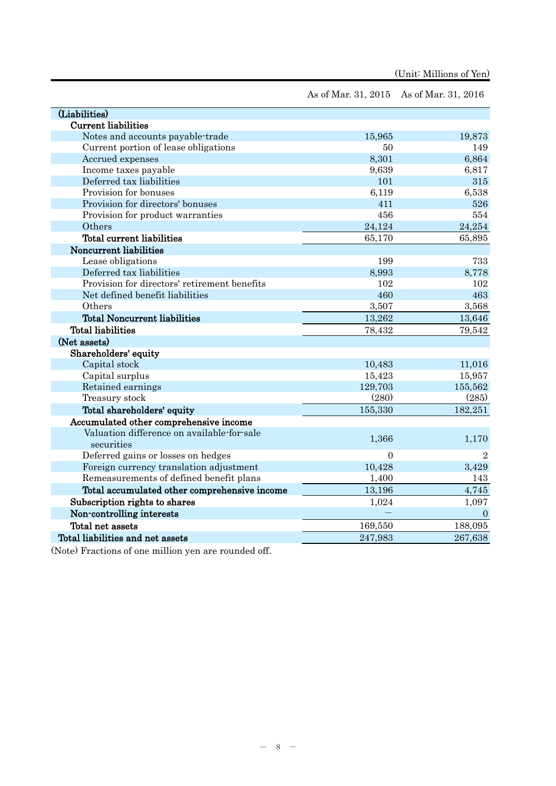|                                              | As of Mar. 31, 2015 As of Mar. 31, 2016 |                |
|----------------------------------------------|-----------------------------------------|----------------|
| (Liabilities)                                |                                         |                |
| <b>Current liabilities</b>                   |                                         |                |
| Notes and accounts payable-trade             | 15,965                                  | 19,873         |
| Current portion of lease obligations         | 50                                      | 149            |
| Accrued expenses                             | 8,301                                   | 6,864          |
| Income taxes payable                         | 9,639                                   | 6,817          |
| Deferred tax liabilities                     | 101                                     | 315            |
| Provision for bonuses                        | 6,119                                   | 6,538          |
| Provision for directors' bonuses             | 411                                     | 526            |
| Provision for product warranties             | 456                                     | 554            |
| Others                                       | 24,124                                  | 24,254         |
| Total current liabilities                    | 65,170                                  | 65,895         |
| Noncurrent liabilities                       |                                         |                |
| Lease obligations                            | 199                                     | 733            |
| Deferred tax liabilities                     | 8,993                                   | 8,778          |
| Provision for directors' retirement benefits | 102                                     | 102            |
| Net defined benefit liabilities              | 460                                     | 463            |
| Others                                       | 3,507                                   | 3,568          |
| <b>Total Noncurrent liabilities</b>          | 13,262                                  | 13,646         |
| <b>Total liabilities</b>                     | 78,432                                  | 79,542         |
| (Net assets)                                 |                                         |                |
| Shareholders' equity                         |                                         |                |
| Capital stock                                | 10,483                                  | 11,016         |
| Capital surplus                              | 15,423                                  | 15,957         |
| Retained earnings                            | 129,703                                 | 155,562        |
| Treasury stock                               | (280)                                   | (285)          |
| Total shareholders' equity                   | 155,330                                 | 182,251        |
| Accumulated other comprehensive income       |                                         |                |
| Valuation difference on available-for-sale   |                                         |                |
| securities                                   | 1,366                                   | 1,170          |
| Deferred gains or losses on hedges           | $\overline{0}$                          | $\overline{2}$ |
| Foreign currency translation adjustment      | 10,428                                  | 3,429          |
| Remeasurements of defined benefit plans      | 1,400                                   | 143            |
| Total accumulated other comprehensive income | 13,196                                  | 4,745          |
| Subscription rights to shares                | 1,024                                   | 1,097          |
| Non-controlling interests                    |                                         | $\overline{0}$ |
| Total net assets                             | 169,550                                 | 188,095        |
| Total liabilities and net assets             | 247,983                                 | 267,638        |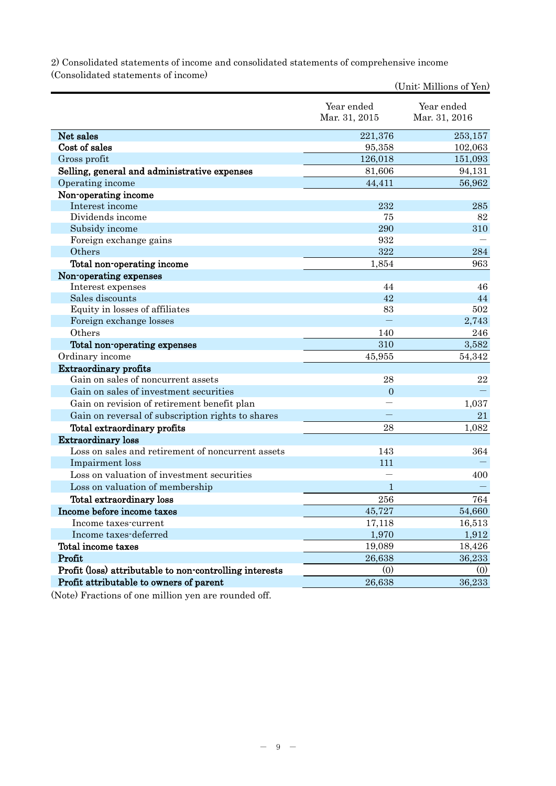2) Consolidated statements of income and consolidated statements of comprehensive income (Consolidated statements of income)

|                                                         |                | (Unit: Millions of Yen) |
|---------------------------------------------------------|----------------|-------------------------|
|                                                         | Year ended     | Year ended              |
|                                                         | Mar. 31, 2015  | Mar. 31, 2016           |
| Net sales                                               | 221,376        | 253,157                 |
| Cost of sales                                           | 95,358         | 102,063                 |
| Gross profit                                            | 126,018        | 151,093                 |
| Selling, general and administrative expenses            | 81,606         | 94,131                  |
| Operating income                                        | 44,411         | 56,962                  |
| Non-operating income                                    |                |                         |
| Interest income                                         | 232            | 285                     |
| Dividends income                                        | 75             | 82                      |
| Subsidy income                                          | 290            | 310                     |
| Foreign exchange gains                                  | 932            |                         |
| Others                                                  | 322            | 284                     |
| Total non-operating income                              | 1,854          | 963                     |
| Non-operating expenses                                  |                |                         |
| Interest expenses                                       | 44             | 46                      |
| Sales discounts                                         | 42             | 44                      |
| Equity in losses of affiliates                          | 83             | 502                     |
| Foreign exchange losses                                 |                | 2,743                   |
| Others                                                  | 140            | 246                     |
| Total non-operating expenses                            | 310            | 3,582                   |
| Ordinary income                                         | 45,955         | 54,342                  |
| <b>Extraordinary profits</b>                            |                |                         |
| Gain on sales of noncurrent assets                      | 28             | $\bf 22$                |
| Gain on sales of investment securities                  | $\overline{0}$ |                         |
| Gain on revision of retirement benefit plan             |                | 1,037                   |
| Gain on reversal of subscription rights to shares       |                | 21                      |
| Total extraordinary profits                             | 28             | 1,082                   |
| <b>Extraordinary loss</b>                               |                |                         |
| Loss on sales and retirement of noncurrent assets       | 143            | 364                     |
| Impairment loss                                         | 111            |                         |
| Loss on valuation of investment securities              |                | 400                     |
| Loss on valuation of membership                         | 1              |                         |
| Total extraordinary loss                                | 256            | 764                     |
| Income before income taxes                              | 45,727         | 54,660                  |
| Income taxes-current                                    | 17,118         | 16,513                  |
| Income taxes-deferred                                   | 1,970          | 1,912                   |
| Total income taxes                                      | 19,089         | 18,426                  |
| Profit                                                  | 26,638         | 36,233                  |
| Profit (loss) attributable to non-controlling interests | (0)            | (0)                     |
| Profit attributable to owners of parent                 | 26,638         | 36,233                  |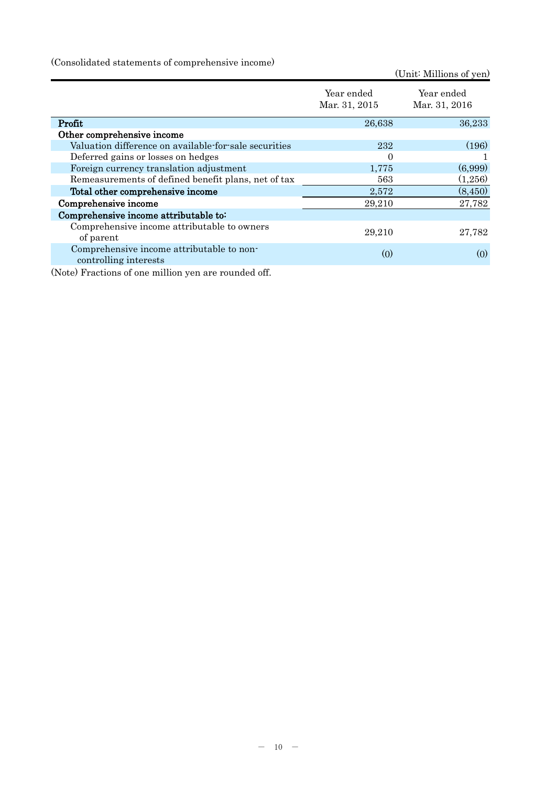(Consolidated statements of comprehensive income)

|                                                                    |                             | (Unit: Millions of yen)     |
|--------------------------------------------------------------------|-----------------------------|-----------------------------|
|                                                                    | Year ended<br>Mar. 31, 2015 | Year ended<br>Mar. 31, 2016 |
| Profit                                                             | 26,638                      | 36,233                      |
| Other comprehensive income                                         |                             |                             |
| Valuation difference on available for sale securities              | 232                         | (196)                       |
| Deferred gains or losses on hedges                                 | 0                           |                             |
| Foreign currency translation adjustment                            | 1,775                       | (6,999)                     |
| Remeasurements of defined benefit plans, net of tax                | 563                         | (1,256)                     |
| Total other comprehensive income                                   | 2,572                       | (8, 450)                    |
| Comprehensive income                                               | 29,210                      | 27,782                      |
| Comprehensive income attributable to:                              |                             |                             |
| Comprehensive income attributable to owners<br>of parent           | 29,210                      | 27,782                      |
| Comprehensive income attributable to non-<br>controlling interests | (0)                         | (0)                         |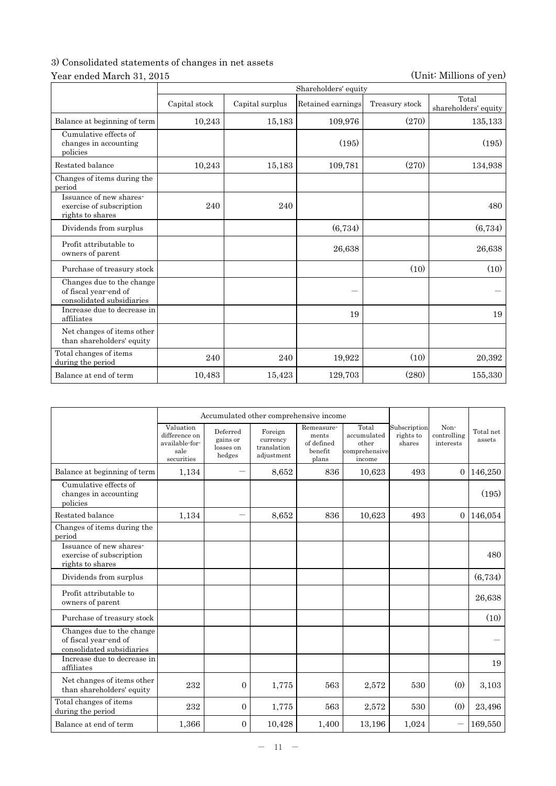# 3) Consolidated statements of changes in net assets

# Year ended March 31, 2015 (Unit: Millions of yen)

|                                                                                 | Shareholders' equity |                 |                   |                |                               |  |  |
|---------------------------------------------------------------------------------|----------------------|-----------------|-------------------|----------------|-------------------------------|--|--|
|                                                                                 | Capital stock        | Capital surplus | Retained earnings | Treasury stock | Total<br>shareholders' equity |  |  |
| Balance at beginning of term                                                    | 10,243               | 15,183          | 109,976           | (270)          | 135,133                       |  |  |
| Cumulative effects of<br>changes in accounting<br>policies                      |                      |                 | (195)             |                | (195)                         |  |  |
| Restated balance                                                                | 10,243               | 15,183          | 109,781           | (270)          | 134,938                       |  |  |
| Changes of items during the<br>period                                           |                      |                 |                   |                |                               |  |  |
| Issuance of new shares-<br>exercise of subscription<br>rights to shares         | 240                  | 240             |                   |                | 480                           |  |  |
| Dividends from surplus                                                          |                      |                 | (6,734)           |                | (6,734)                       |  |  |
| Profit attributable to<br>owners of parent                                      |                      |                 | 26,638            |                | 26,638                        |  |  |
| Purchase of treasury stock                                                      |                      |                 |                   | (10)           | (10)                          |  |  |
| Changes due to the change<br>of fiscal year-end of<br>consolidated subsidiaries |                      |                 |                   |                |                               |  |  |
| Increase due to decrease in<br>affiliates                                       |                      |                 | 19                |                | 19                            |  |  |
| Net changes of items other<br>than shareholders' equity                         |                      |                 |                   |                |                               |  |  |
| Total changes of items<br>during the period                                     | 240                  | 240             | 19,922            | (10)           | 20,392                        |  |  |
| Balance at end of term                                                          | 10,483               | 15,423          | 129,703           | (280)          | 155,330                       |  |  |

|                                                                                 |                                                                    | Accumulated other comprehensive income      |                                                  |                                                       |                                                          |                                     |                                  |                     |
|---------------------------------------------------------------------------------|--------------------------------------------------------------------|---------------------------------------------|--------------------------------------------------|-------------------------------------------------------|----------------------------------------------------------|-------------------------------------|----------------------------------|---------------------|
|                                                                                 | Valuation<br>difference on<br>available-for-<br>sale<br>securities | Deferred<br>gains or<br>losses on<br>hedges | Foreign<br>currency<br>translation<br>adjustment | Remeasure-<br>ments<br>of defined<br>benefit<br>plans | Total<br>accumulated<br>other<br>comprehensive<br>income | Subscription<br>rights to<br>shares | Non-<br>controlling<br>interests | Total net<br>assets |
| Balance at beginning of term                                                    | 1,134                                                              |                                             | 8,652                                            | 836                                                   | 10,623                                                   | 493                                 | $\Omega$                         | 146,250             |
| Cumulative effects of<br>changes in accounting<br>policies                      |                                                                    |                                             |                                                  |                                                       |                                                          |                                     |                                  | (195)               |
| Restated balance                                                                | 1,134                                                              |                                             | 8,652                                            | 836                                                   | 10,623                                                   | 493                                 | $\Omega$                         | 146,054             |
| Changes of items during the<br>period                                           |                                                                    |                                             |                                                  |                                                       |                                                          |                                     |                                  |                     |
| Issuance of new shares-<br>exercise of subscription<br>rights to shares         |                                                                    |                                             |                                                  |                                                       |                                                          |                                     |                                  | 480                 |
| Dividends from surplus                                                          |                                                                    |                                             |                                                  |                                                       |                                                          |                                     |                                  | (6,734)             |
| Profit attributable to<br>owners of parent                                      |                                                                    |                                             |                                                  |                                                       |                                                          |                                     |                                  | 26,638              |
| Purchase of treasury stock                                                      |                                                                    |                                             |                                                  |                                                       |                                                          |                                     |                                  | (10)                |
| Changes due to the change<br>of fiscal year-end of<br>consolidated subsidiaries |                                                                    |                                             |                                                  |                                                       |                                                          |                                     |                                  |                     |
| Increase due to decrease in<br>affiliates                                       |                                                                    |                                             |                                                  |                                                       |                                                          |                                     |                                  | 19                  |
| Net changes of items other<br>than shareholders' equity                         | 232                                                                | $\overline{0}$                              | 1,775                                            | 563                                                   | 2,572                                                    | 530                                 | (0)                              | 3,103               |
| Total changes of items<br>during the period                                     | 232                                                                | $\overline{0}$                              | 1,775                                            | 563                                                   | 2,572                                                    | 530                                 | (0)                              | 23,496              |
| Balance at end of term                                                          | 1,366                                                              | $\Omega$                                    | 10,428                                           | 1,400                                                 | 13,196                                                   | 1,024                               |                                  | 169,550             |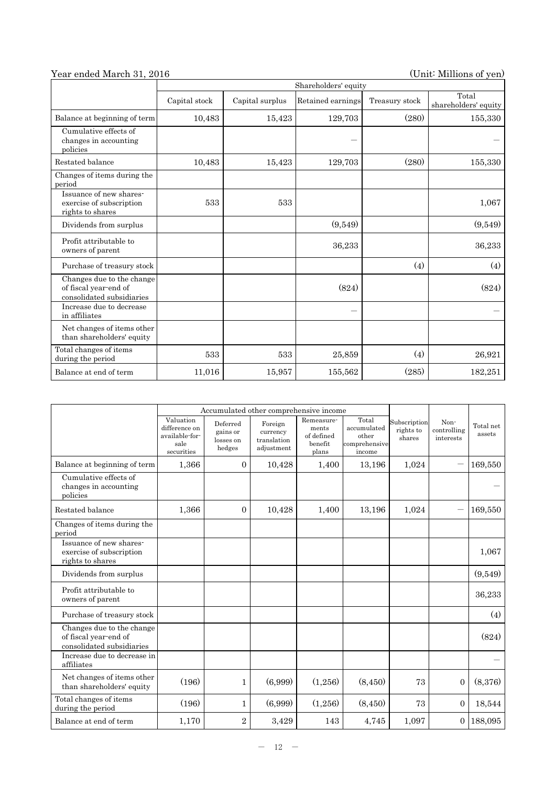# Year ended March 31, 2016 (Unit: Millions of yen)

|                                                                                 | Shareholders' equity |                 |                   |                |                               |  |  |
|---------------------------------------------------------------------------------|----------------------|-----------------|-------------------|----------------|-------------------------------|--|--|
|                                                                                 | Capital stock        | Capital surplus | Retained earnings | Treasury stock | Total<br>shareholders' equity |  |  |
| Balance at beginning of term                                                    | 10,483               | 15,423          | 129,703           | (280)          | 155,330                       |  |  |
| Cumulative effects of<br>changes in accounting<br>policies                      |                      |                 |                   |                |                               |  |  |
| Restated balance                                                                | 10,483               | 15,423          | 129,703           | (280)          | 155,330                       |  |  |
| Changes of items during the<br>period                                           |                      |                 |                   |                |                               |  |  |
| Issuance of new shares-<br>exercise of subscription<br>rights to shares         | 533                  | 533             |                   |                | 1,067                         |  |  |
| Dividends from surplus                                                          |                      |                 | (9,549)           |                | (9,549)                       |  |  |
| Profit attributable to<br>owners of parent                                      |                      |                 | 36,233            |                | 36,233                        |  |  |
| Purchase of treasury stock                                                      |                      |                 |                   | (4)            | (4)                           |  |  |
| Changes due to the change<br>of fiscal year-end of<br>consolidated subsidiaries |                      |                 | (824)             |                | (824)                         |  |  |
| Increase due to decrease<br>in affiliates                                       |                      |                 | --                |                |                               |  |  |
| Net changes of items other<br>than shareholders' equity                         |                      |                 |                   |                |                               |  |  |
| Total changes of items<br>during the period                                     | 533                  | 533             | 25,859            | (4)            | 26,921                        |  |  |
| Balance at end of term                                                          | 11,016               | 15,957          | 155,562           | (285)          | 182,251                       |  |  |

|                                                                                 | Accumulated other comprehensive income                             |                                             |                                                  |                                                       |                                                          |                                     |                                  |                     |
|---------------------------------------------------------------------------------|--------------------------------------------------------------------|---------------------------------------------|--------------------------------------------------|-------------------------------------------------------|----------------------------------------------------------|-------------------------------------|----------------------------------|---------------------|
|                                                                                 | Valuation<br>difference on<br>available-for-<br>sale<br>securities | Deferred<br>gains or<br>losses on<br>hedges | Foreign<br>currency<br>translation<br>adjustment | Remeasure-<br>ments<br>of defined<br>benefit<br>plans | Total<br>accumulated<br>other<br>comprehensive<br>income | Subscription<br>rights to<br>shares | Non-<br>controlling<br>interests | Total net<br>assets |
| Balance at beginning of term                                                    | 1,366                                                              | $\mathbf{0}$                                | 10,428                                           | 1,400                                                 | 13,196                                                   | 1,024                               |                                  | 169,550             |
| Cumulative effects of<br>changes in accounting<br>policies                      |                                                                    |                                             |                                                  |                                                       |                                                          |                                     |                                  |                     |
| Restated balance                                                                | 1,366                                                              | $\Omega$                                    | 10,428                                           | 1,400                                                 | 13,196                                                   | 1,024                               | $\overline{\phantom{0}}$         | 169,550             |
| Changes of items during the<br>period                                           |                                                                    |                                             |                                                  |                                                       |                                                          |                                     |                                  |                     |
| Issuance of new shares-<br>exercise of subscription<br>rights to shares         |                                                                    |                                             |                                                  |                                                       |                                                          |                                     |                                  | 1,067               |
| Dividends from surplus                                                          |                                                                    |                                             |                                                  |                                                       |                                                          |                                     |                                  | (9,549)             |
| Profit attributable to<br>owners of parent                                      |                                                                    |                                             |                                                  |                                                       |                                                          |                                     |                                  | 36,233              |
| Purchase of treasury stock                                                      |                                                                    |                                             |                                                  |                                                       |                                                          |                                     |                                  | (4)                 |
| Changes due to the change<br>of fiscal year-end of<br>consolidated subsidiaries |                                                                    |                                             |                                                  |                                                       |                                                          |                                     |                                  | (824)               |
| Increase due to decrease in<br>affiliates                                       |                                                                    |                                             |                                                  |                                                       |                                                          |                                     |                                  |                     |
| Net changes of items other<br>than shareholders' equity                         | (196)                                                              | 1                                           | (6,999)                                          | (1,256)                                               | (8,450)                                                  | 73                                  | $\overline{0}$                   | (8,376)             |
| Total changes of items<br>during the period                                     | (196)                                                              | 1                                           | (6,999)                                          | (1,256)                                               | (8,450)                                                  | 73                                  | $\overline{0}$                   | 18,544              |
| Balance at end of term                                                          | 1,170                                                              | $\overline{2}$                              | 3,429                                            | 143                                                   | 4,745                                                    | 1,097                               | 0                                | 188,095             |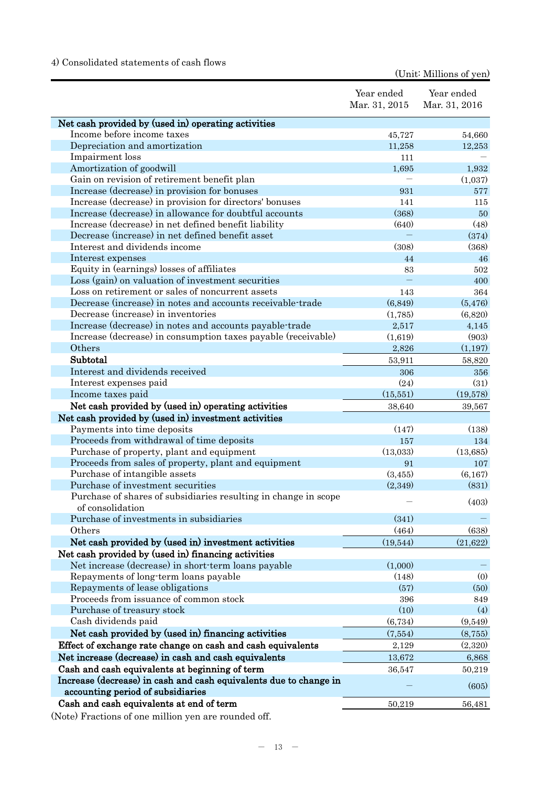# 4) Consolidated statements of cash flows

(Unit: Millions of yen)

|                                                                                                        | Year ended<br>Mar. 31, 2015 | Year ended<br>Mar. 31, 2016 |
|--------------------------------------------------------------------------------------------------------|-----------------------------|-----------------------------|
|                                                                                                        |                             |                             |
| Net cash provided by (used in) operating activities                                                    |                             |                             |
| Income before income taxes                                                                             | 45,727                      | 54,660                      |
| Depreciation and amortization                                                                          | 11,258                      | 12,253                      |
| Impairment loss                                                                                        | 111                         |                             |
| Amortization of goodwill<br>Gain on revision of retirement benefit plan                                | 1,695                       | 1,932                       |
| Increase (decrease) in provision for bonuses                                                           | 931                         | (1,037)<br>577              |
| Increase (decrease) in provision for directors' bonuses                                                | 141                         | 115                         |
| Increase (decrease) in allowance for doubtful accounts                                                 | (368)                       | 50                          |
| Increase (decrease) in net defined benefit liability                                                   | (640)                       | (48)                        |
| Decrease (increase) in net defined benefit asset                                                       |                             | (374)                       |
| Interest and dividends income                                                                          | (308)                       | (368)                       |
| Interest expenses                                                                                      | 44                          | 46                          |
| Equity in (earnings) losses of affiliates                                                              | 83                          | 502                         |
| Loss (gain) on valuation of investment securities                                                      |                             | 400                         |
| Loss on retirement or sales of noncurrent assets                                                       | 143                         | 364                         |
| Decrease (increase) in notes and accounts receivable-trade                                             | (6, 849)                    | (5, 476)                    |
| Decrease (increase) in inventories                                                                     | (1,785)                     | (6,820)                     |
| Increase (decrease) in notes and accounts payable-trade                                                | 2,517                       | 4,145                       |
| Increase (decrease) in consumption taxes payable (receivable)                                          | (1,619)                     | (903)                       |
| Others                                                                                                 | 2,826                       | (1,197)                     |
| Subtotal                                                                                               | 53,911                      | 58,820                      |
| Interest and dividends received                                                                        | 306                         | 356                         |
| Interest expenses paid                                                                                 | (24)                        | (31)                        |
| Income taxes paid                                                                                      | (15, 551)                   | (19,578)                    |
| Net cash provided by (used in) operating activities                                                    | 38,640                      | 39,567                      |
| Net cash provided by (used in) investment activities                                                   |                             |                             |
| Payments into time deposits                                                                            | (147)                       | (138)                       |
| Proceeds from withdrawal of time deposits                                                              | 157                         | 134                         |
| Purchase of property, plant and equipment                                                              | (13,033)                    | (13,685)                    |
| Proceeds from sales of property, plant and equipment                                                   | 91                          | 107                         |
| Purchase of intangible assets                                                                          | (3, 455)                    | (6,167)                     |
| Purchase of investment securities                                                                      | (2,349)                     | (831)                       |
| Purchase of shares of subsidiaries resulting in change in scope<br>of consolidation                    |                             | (403)                       |
| Purchase of investments in subsidiaries                                                                | (341)                       |                             |
| Others                                                                                                 | (464)                       | (638)                       |
| Net cash provided by (used in) investment activities                                                   | (19, 544)                   | (21, 622)                   |
| Net cash provided by (used in) financing activities                                                    |                             |                             |
| Net increase (decrease) in short-term loans payable                                                    | (1,000)                     |                             |
| Repayments of long-term loans payable                                                                  | (148)                       | (0)                         |
| Repayments of lease obligations                                                                        | (57)                        | (50)                        |
| Proceeds from issuance of common stock                                                                 | 396                         | 849                         |
| Purchase of treasury stock                                                                             | (10)                        | (4)                         |
| Cash dividends paid                                                                                    | (6, 734)                    | (9,549)                     |
| Net cash provided by (used in) financing activities                                                    | (7,554)                     | (8,755)                     |
| Effect of exchange rate change on cash and cash equivalents                                            | 2,129                       | (2,320)                     |
| Net increase (decrease) in cash and cash equivalents                                                   | 13,672                      | 6,868                       |
| Cash and cash equivalents at beginning of term                                                         | 36,547                      | 50,219                      |
| Increase (decrease) in cash and cash equivalents due to change in<br>accounting period of subsidiaries |                             | (605)                       |
| Cash and cash equivalents at end of term                                                               | 50,219                      | 56,481                      |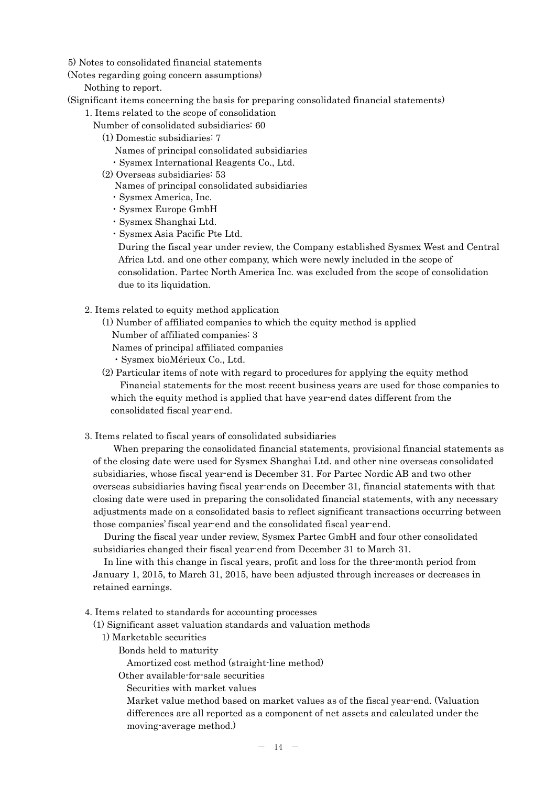5) Notes to consolidated financial statements

(Notes regarding going concern assumptions)

Nothing to report.

(Significant items concerning the basis for preparing consolidated financial statements)

- 1. Items related to the scope of consolidation
	- Number of consolidated subsidiaries: 60
		- (1) Domestic subsidiaries: 7
			- Names of principal consolidated subsidiaries
			- ・Sysmex International Reagents Co., Ltd.
		- (2) Overseas subsidiaries: 53
			- Names of principal consolidated subsidiaries
			- ・Sysmex America, Inc.
			- ・Sysmex Europe GmbH
			- ・Sysmex Shanghai Ltd.
			- ・Sysmex Asia Pacific Pte Ltd.

During the fiscal year under review, the Company established Sysmex West and Central Africa Ltd. and one other company, which were newly included in the scope of consolidation. Partec North America Inc. was excluded from the scope of consolidation due to its liquidation.

- 2. Items related to equity method application
	- (1) Number of affiliated companies to which the equity method is applied Number of affiliated companies: 3 Names of principal affiliated companies ・Sysmex bioMérieux Co., Ltd.
	- (2) Particular items of note with regard to procedures for applying the equity method Financial statements for the most recent business years are used for those companies to which the equity method is applied that have year-end dates different from the consolidated fiscal year-end.
- 3. Items related to fiscal years of consolidated subsidiaries

When preparing the consolidated financial statements, provisional financial statements as of the closing date were used for Sysmex Shanghai Ltd. and other nine overseas consolidated subsidiaries, whose fiscal year-end is December 31. For Partec Nordic AB and two other overseas subsidiaries having fiscal year-ends on December 31, financial statements with that closing date were used in preparing the consolidated financial statements, with any necessary adjustments made on a consolidated basis to reflect significant transactions occurring between those companies' fiscal year-end and the consolidated fiscal year-end.

During the fiscal year under review, Sysmex Partec GmbH and four other consolidated subsidiaries changed their fiscal year-end from December 31 to March 31.

In line with this change in fiscal years, profit and loss for the three-month period from January 1, 2015, to March 31, 2015, have been adjusted through increases or decreases in retained earnings.

4. Items related to standards for accounting processes

(1) Significant asset valuation standards and valuation methods

- 1) Marketable securities
	- Bonds held to maturity
		- Amortized cost method (straight-line method)
	- Other available-for-sale securities

Securities with market values

Market value method based on market values as of the fiscal year-end. (Valuation differences are all reported as a component of net assets and calculated under the moving-average method.)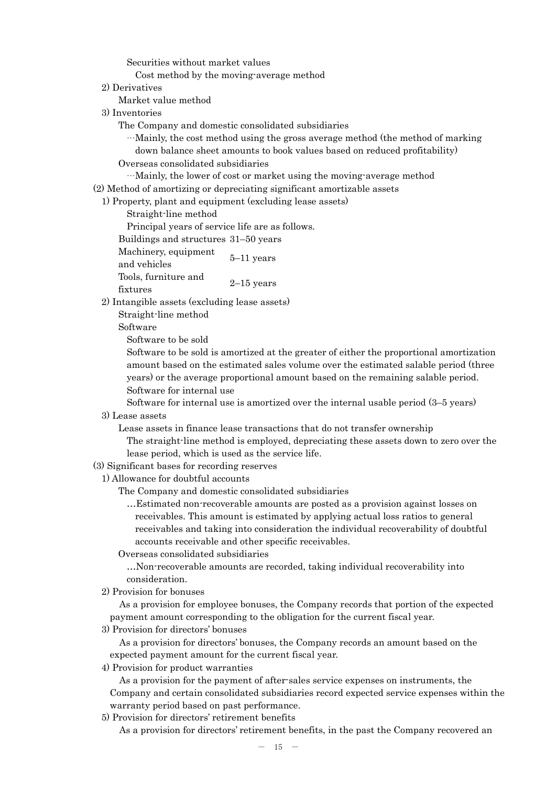Securities without market values

Cost method by the moving-average method

2) Derivatives

Market value method

- 3) Inventories
	- The Company and domestic consolidated subsidiaries

…Mainly, the cost method using the gross average method (the method of marking down balance sheet amounts to book values based on reduced profitability)

Overseas consolidated subsidiaries

…Mainly, the lower of cost or market using the moving-average method

(2) Method of amortizing or depreciating significant amortizable assets

1) Property, plant and equipment (excluding lease assets)

Straight-line method

Principal years of service life are as follows.

Buildings and structures 31–50 years

Machinery, equipment  $\frac{5}{-11}$  years Tools, furniture and fixtures 2–15 years

2) Intangible assets (excluding lease assets)

Straight-line method

Software

Software to be sold

Software to be sold is amortized at the greater of either the proportional amortization amount based on the estimated sales volume over the estimated salable period (three years) or the average proportional amount based on the remaining salable period. Software for internal use

Software for internal use is amortized over the internal usable period (3–5 years)

3) Lease assets

Lease assets in finance lease transactions that do not transfer ownership

The straight-line method is employed, depreciating these assets down to zero over the lease period, which is used as the service life.

### (3) Significant bases for recording reserves

1) Allowance for doubtful accounts

The Company and domestic consolidated subsidiaries

…Estimated non-recoverable amounts are posted as a provision against losses on receivables. This amount is estimated by applying actual loss ratios to general receivables and taking into consideration the individual recoverability of doubtful accounts receivable and other specific receivables.

Overseas consolidated subsidiaries

…Non-recoverable amounts are recorded, taking individual recoverability into consideration.

2) Provision for bonuses

As a provision for employee bonuses, the Company records that portion of the expected payment amount corresponding to the obligation for the current fiscal year.

3) Provision for directors' bonuses

As a provision for directors' bonuses, the Company records an amount based on the expected payment amount for the current fiscal year.

4) Provision for product warranties

As a provision for the payment of after-sales service expenses on instruments, the Company and certain consolidated subsidiaries record expected service expenses within the warranty period based on past performance.

5) Provision for directors' retirement benefits

As a provision for directors' retirement benefits, in the past the Company recovered an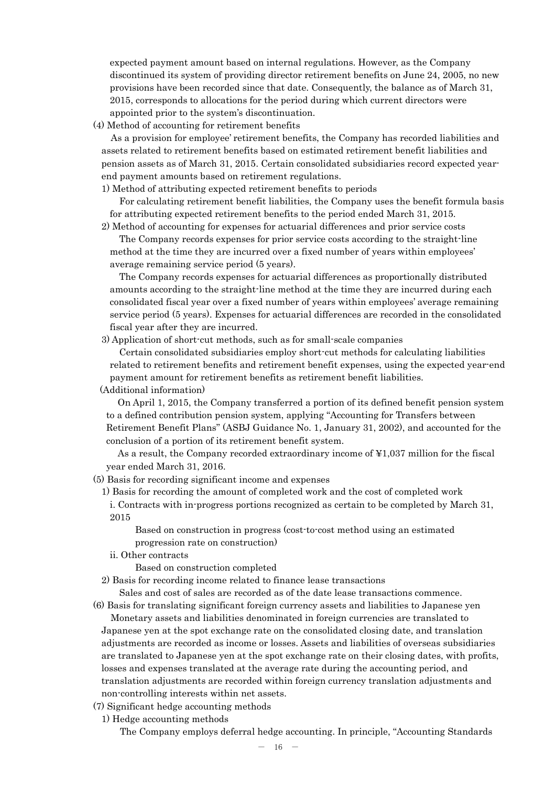expected payment amount based on internal regulations. However, as the Company discontinued its system of providing director retirement benefits on June 24, 2005, no new provisions have been recorded since that date. Consequently, the balance as of March 31, 2015, corresponds to allocations for the period during which current directors were appointed prior to the system's discontinuation.

(4) Method of accounting for retirement benefits

As a provision for employee' retirement benefits, the Company has recorded liabilities and assets related to retirement benefits based on estimated retirement benefit liabilities and pension assets as of March 31, 2015. Certain consolidated subsidiaries record expected yearend payment amounts based on retirement regulations.

1) Method of attributing expected retirement benefits to periods

For calculating retirement benefit liabilities, the Company uses the benefit formula basis for attributing expected retirement benefits to the period ended March 31, 2015.

2) Method of accounting for expenses for actuarial differences and prior service costs The Company records expenses for prior service costs according to the straight-line

method at the time they are incurred over a fixed number of years within employees' average remaining service period (5 years).

The Company records expenses for actuarial differences as proportionally distributed amounts according to the straight-line method at the time they are incurred during each consolidated fiscal year over a fixed number of years within employees' average remaining service period (5 years). Expenses for actuarial differences are recorded in the consolidated fiscal year after they are incurred.

3) Application of short-cut methods, such as for small-scale companies

Certain consolidated subsidiaries employ short-cut methods for calculating liabilities related to retirement benefits and retirement benefit expenses, using the expected year-end payment amount for retirement benefits as retirement benefit liabilities.

(Additional information)

On April 1, 2015, the Company transferred a portion of its defined benefit pension system to a defined contribution pension system, applying "Accounting for Transfers between Retirement Benefit Plans" (ASBJ Guidance No. 1, January 31, 2002), and accounted for the conclusion of a portion of its retirement benefit system.

As a result, the Company recorded extraordinary income of ¥1,037 million for the fiscal year ended March 31, 2016.

- (5) Basis for recording significant income and expenses
	- 1) Basis for recording the amount of completed work and the cost of completed work i. Contracts with in-progress portions recognized as certain to be completed by March 31, 2015

Based on construction in progress (cost-to-cost method using an estimated progression rate on construction)

ii. Other contracts

Based on construction completed

2) Basis for recording income related to finance lease transactions

Sales and cost of sales are recorded as of the date lease transactions commence.

- (6) Basis for translating significant foreign currency assets and liabilities to Japanese yen Monetary assets and liabilities denominated in foreign currencies are translated to Japanese yen at the spot exchange rate on the consolidated closing date, and translation adjustments are recorded as income or losses. Assets and liabilities of overseas subsidiaries are translated to Japanese yen at the spot exchange rate on their closing dates, with profits, losses and expenses translated at the average rate during the accounting period, and translation adjustments are recorded within foreign currency translation adjustments and non-controlling interests within net assets.
- (7) Significant hedge accounting methods
- 1) Hedge accounting methods

The Company employs deferral hedge accounting. In principle, "Accounting Standards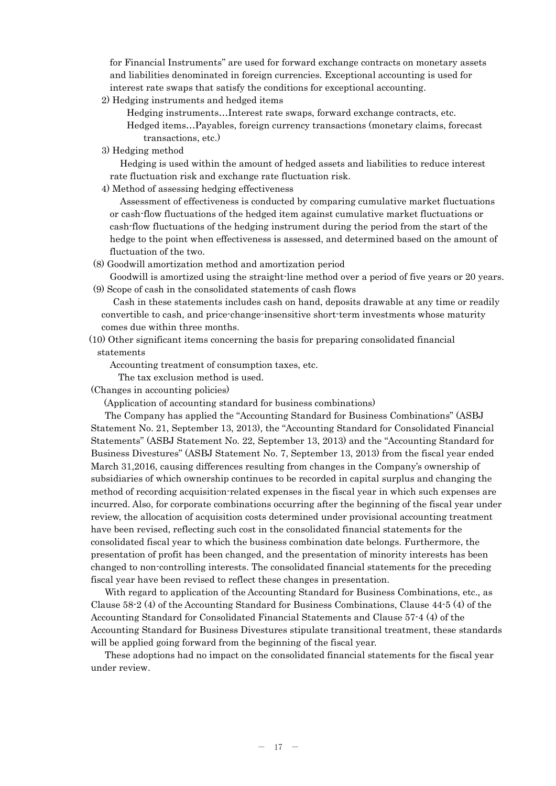for Financial Instruments" are used for forward exchange contracts on monetary assets and liabilities denominated in foreign currencies. Exceptional accounting is used for interest rate swaps that satisfy the conditions for exceptional accounting.

2) Hedging instruments and hedged items

Hedging instruments…Interest rate swaps, forward exchange contracts, etc. Hedged items…Payables, foreign currency transactions (monetary claims, forecast transactions, etc.)

3) Hedging method

Hedging is used within the amount of hedged assets and liabilities to reduce interest rate fluctuation risk and exchange rate fluctuation risk.

4) Method of assessing hedging effectiveness

Assessment of effectiveness is conducted by comparing cumulative market fluctuations or cash-flow fluctuations of the hedged item against cumulative market fluctuations or cash-flow fluctuations of the hedging instrument during the period from the start of the hedge to the point when effectiveness is assessed, and determined based on the amount of fluctuation of the two.

(8) Goodwill amortization method and amortization period

Goodwill is amortized using the straight-line method over a period of five years or 20 years. (9) Scope of cash in the consolidated statements of cash flows

Cash in these statements includes cash on hand, deposits drawable at any time or readily convertible to cash, and price-change-insensitive short-term investments whose maturity comes due within three months.

(10) Other significant items concerning the basis for preparing consolidated financial statements

Accounting treatment of consumption taxes, etc.

The tax exclusion method is used.

(Changes in accounting policies)

(Application of accounting standard for business combinations)

The Company has applied the "Accounting Standard for Business Combinations" (ASBJ Statement No. 21, September 13, 2013), the "Accounting Standard for Consolidated Financial Statements" (ASBJ Statement No. 22, September 13, 2013) and the "Accounting Standard for Business Divestures" (ASBJ Statement No. 7, September 13, 2013) from the fiscal year ended March 31,2016, causing differences resulting from changes in the Company's ownership of subsidiaries of which ownership continues to be recorded in capital surplus and changing the method of recording acquisition-related expenses in the fiscal year in which such expenses are incurred. Also, for corporate combinations occurring after the beginning of the fiscal year under review, the allocation of acquisition costs determined under provisional accounting treatment have been revised, reflecting such cost in the consolidated financial statements for the consolidated fiscal year to which the business combination date belongs. Furthermore, the presentation of profit has been changed, and the presentation of minority interests has been changed to non-controlling interests. The consolidated financial statements for the preceding fiscal year have been revised to reflect these changes in presentation.

With regard to application of the Accounting Standard for Business Combinations, etc., as Clause 58-2 (4) of the Accounting Standard for Business Combinations, Clause 44-5 (4) of the Accounting Standard for Consolidated Financial Statements and Clause 57-4 (4) of the Accounting Standard for Business Divestures stipulate transitional treatment, these standards will be applied going forward from the beginning of the fiscal year.

These adoptions had no impact on the consolidated financial statements for the fiscal year under review.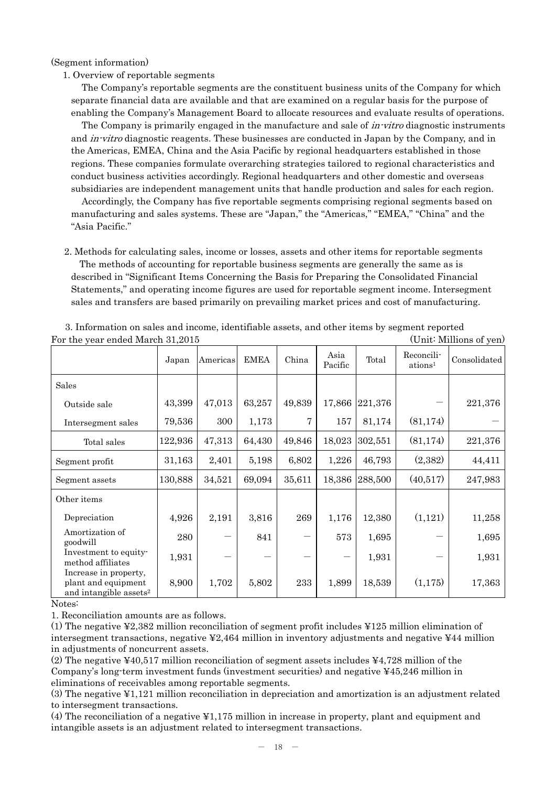(Segment information)

### 1. Overview of reportable segments

The Company's reportable segments are the constituent business units of the Company for which separate financial data are available and that are examined on a regular basis for the purpose of enabling the Company's Management Board to allocate resources and evaluate results of operations.

The Company is primarily engaged in the manufacture and sale of *in-vitro* diagnostic instruments and *in-vitro* diagnostic reagents. These businesses are conducted in Japan by the Company, and in the Americas, EMEA, China and the Asia Pacific by regional headquarters established in those regions. These companies formulate overarching strategies tailored to regional characteristics and conduct business activities accordingly. Regional headquarters and other domestic and overseas subsidiaries are independent management units that handle production and sales for each region.

Accordingly, the Company has five reportable segments comprising regional segments based on manufacturing and sales systems. These are "Japan," the "Americas," "EMEA," "China" and the "Asia Pacific."

2. Methods for calculating sales, income or losses, assets and other items for reportable segments The methods of accounting for reportable business segments are generally the same as is described in "Significant Items Concerning the Basis for Preparing the Consolidated Financial Statements," and operating income figures are used for reportable segment income. Intersegment sales and transfers are based primarily on prevailing market prices and cost of manufacturing.

| For the year ended march 51,2015<br>(OTHE MITHOUS OF YOU)                          |         |          |             |        |                 |         |                                   |              |
|------------------------------------------------------------------------------------|---------|----------|-------------|--------|-----------------|---------|-----------------------------------|--------------|
|                                                                                    | Japan   | Americas | <b>EMEA</b> | China  | Asia<br>Pacific | Total   | Reconcili-<br>ations <sup>1</sup> | Consolidated |
| Sales                                                                              |         |          |             |        |                 |         |                                   |              |
| Outside sale                                                                       | 43,399  | 47,013   | 63,257      | 49,839 | 17,866          | 221,376 |                                   | 221,376      |
| Intersegment sales                                                                 | 79,536  | 300      | 1,173       | 7      | 157             | 81,174  | (81, 174)                         |              |
| Total sales                                                                        | 122,936 | 47,313   | 64,430      | 49,846 | 18,023          | 302,551 | (81, 174)                         | 221,376      |
| Segment profit                                                                     | 31,163  | 2,401    | 5,198       | 6,802  | 1,226           | 46,793  | (2,382)                           | 44,411       |
| Segment assets                                                                     | 130,888 | 34,521   | 69,094      | 35,611 | 18,386          | 288,500 | (40,517)                          | 247,983      |
| Other items                                                                        |         |          |             |        |                 |         |                                   |              |
| Depreciation                                                                       | 4,926   | 2,191    | 3,816       | 269    | 1,176           | 12,380  | (1,121)                           | 11,258       |
| Amortization of<br>goodwill                                                        | 280     |          | 841         |        | 573             | 1,695   |                                   | 1,695        |
| Investment to equity-<br>method affiliates                                         | 1,931   |          |             |        |                 | 1,931   |                                   | 1,931        |
| Increase in property,<br>plant and equipment<br>and intangible assets <sup>2</sup> | 8,900   | 1,702    | 5,802       | 233    | 1,899           | 18,539  | (1,175)                           | 17,363       |

3. Information on sales and income, identifiable assets, and other items by segment reported For the year ended March 31, 2015

Notes:

1. Reconciliation amounts are as follows.

(1) The negative ¥2,382 million reconciliation of segment profit includes ¥125 million elimination of intersegment transactions, negative ¥2,464 million in inventory adjustments and negative ¥44 million in adjustments of noncurrent assets.

(2) The negative ¥40,517 million reconciliation of segment assets includes ¥4,728 million of the Company's long-term investment funds (investment securities) and negative ¥45,246 million in eliminations of receivables among reportable segments.

(3) The negative ¥1,121 million reconciliation in depreciation and amortization is an adjustment related to intersegment transactions.

(4) The reconciliation of a negative ¥1,175 million in increase in property, plant and equipment and intangible assets is an adjustment related to intersegment transactions.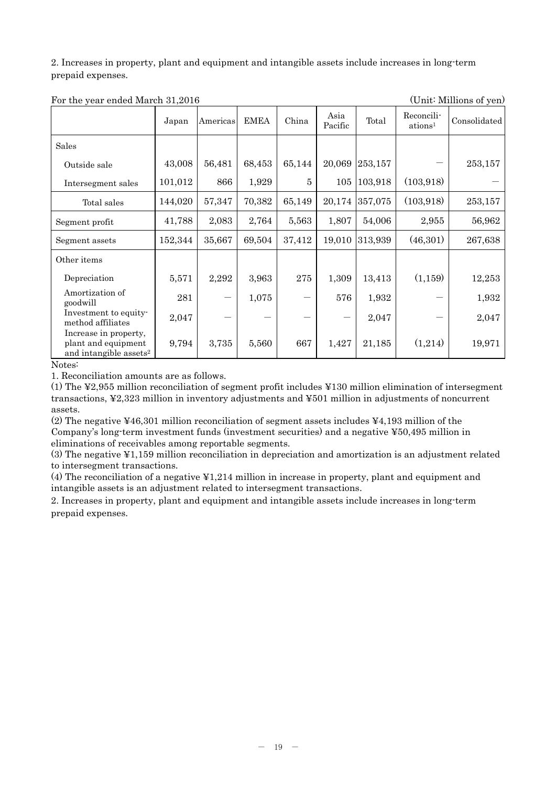2. Increases in property, plant and equipment and intangible assets include increases in long-term prepaid expenses.

| $101$ and $100$ can chaod match $01, 00$                                           | Japan   | Americas | <b>EMEA</b> | China          | Asia<br>Pacific | Total   | Reconcili-<br>ations <sup>1</sup> | $\sim$ 1.1111101110 01 $\frac{1}{2}$ 011/<br>Consolidated |
|------------------------------------------------------------------------------------|---------|----------|-------------|----------------|-----------------|---------|-----------------------------------|-----------------------------------------------------------|
| Sales                                                                              |         |          |             |                |                 |         |                                   |                                                           |
| Outside sale                                                                       | 43,008  | 56,481   | 68,453      | 65,144         | 20,069          | 253,157 |                                   | 253,157                                                   |
| Intersegment sales                                                                 | 101,012 | 866      | 1,929       | $\overline{5}$ | 105             | 103,918 | (103, 918)                        |                                                           |
| Total sales                                                                        | 144,020 | 57,347   | 70,382      | 65,149         | 20,174          | 357,075 | (103, 918)                        | 253,157                                                   |
| Segment profit                                                                     | 41,788  | 2,083    | 2,764       | 5,563          | 1,807           | 54,006  | 2,955                             | 56,962                                                    |
| Segment assets                                                                     | 152,344 | 35,667   | 69,504      | 37,412         | 19,010          | 313,939 | (46,301)                          | 267,638                                                   |
| Other items                                                                        |         |          |             |                |                 |         |                                   |                                                           |
| Depreciation                                                                       | 5,571   | 2,292    | 3,963       | 275            | 1,309           | 13,413  | (1, 159)                          | 12,253                                                    |
| Amortization of<br>goodwill                                                        | 281     |          | 1,075       | —              | 576             | 1,932   |                                   | 1,932                                                     |
| Investment to equity-<br>method affiliates                                         | 2,047   |          |             |                |                 | 2,047   |                                   | 2,047                                                     |
| Increase in property,<br>plant and equipment<br>and intangible assets <sup>2</sup> | 9,794   | 3,735    | 5,560       | 667            | 1,427           | 21,185  | (1,214)                           | 19,971                                                    |

For the year ended March 31, 2016

Notes:

1. Reconciliation amounts are as follows.

(1) The ¥2,955 million reconciliation of segment profit includes ¥130 million elimination of intersegment transactions, ¥2,323 million in inventory adjustments and ¥501 million in adjustments of noncurrent assets.

(2) The negative ¥46,301 million reconciliation of segment assets includes ¥4,193 million of the Company's long-term investment funds (investment securities) and a negative ¥50,495 million in eliminations of receivables among reportable segments.

(3) The negative ¥1,159 million reconciliation in depreciation and amortization is an adjustment related to intersegment transactions.

(4) The reconciliation of a negative ¥1,214 million in increase in property, plant and equipment and intangible assets is an adjustment related to intersegment transactions.

2. Increases in property, plant and equipment and intangible assets include increases in long-term prepaid expenses.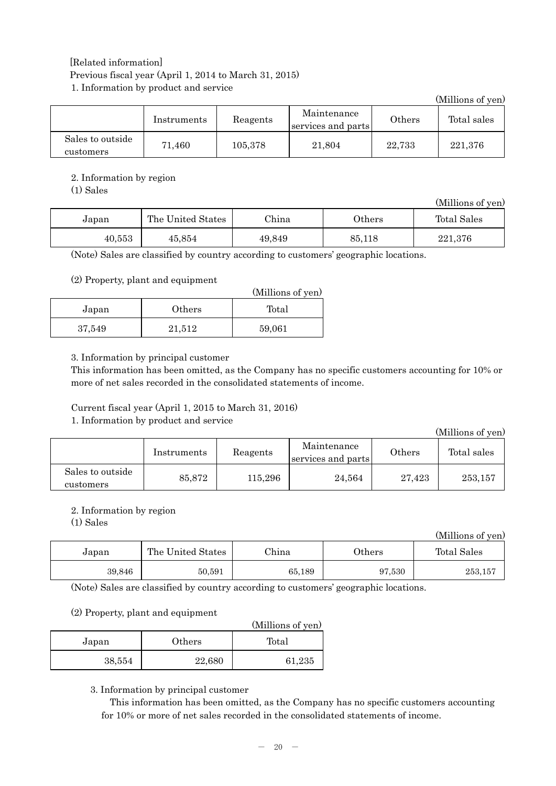# [Related information] Previous fiscal year (April 1, 2014 to March 31, 2015) 1. Information by product and service

|                               |             |          |                                   |        | (Millions of yen) |
|-------------------------------|-------------|----------|-----------------------------------|--------|-------------------|
|                               | Instruments | Reagents | Maintenance<br>services and parts | Others | Total sales       |
| Sales to outside<br>customers | 71,460      | 105,378  | 21,804                            | 22,733 | 221,376           |

# 2. Information by region

(1) Sales

|        |                   |        |           | (Millions of yen) |
|--------|-------------------|--------|-----------|-------------------|
| Japan  | The United States | China  | $0$ thers | Total Sales       |
| 40,553 | 45.854            | 49,849 | 85,118    | 221,376           |

(Note) Sales are classified by country according to customers' geographic locations.

### (2) Property, plant and equipment

|        |        | (Millions of yen) |
|--------|--------|-------------------|
| Japan  | Others | Total             |
| 37,549 | 21,512 | 59,061            |

### 3. Information by principal customer

This information has been omitted, as the Company has no specific customers accounting for 10% or more of net sales recorded in the consolidated statements of income.

Current fiscal year (April 1, 2015 to March 31, 2016)

# 1. Information by product and service

(Millions of yen) Instruments Reagents Maintenance services and parts Others Total sales Sales to outside customers  $85,872$  115,296 24,564 27,423 253,157

# 2. Information by region

(1) Sales

(Millions of yen)

| Japan  | The United States | China  | $0$ thers | Total Sales |
|--------|-------------------|--------|-----------|-------------|
| 39,846 | 50,591            | 65,189 | 97,530    | 253,157     |

(Note) Sales are classified by country according to customers' geographic locations.

### (2) Property, plant and equipment

|        |        | (Millions of yen) |
|--------|--------|-------------------|
| Japan  | Others | Total             |
| 38,554 | 22,680 | 61,235            |

### 3. Information by principal customer

This information has been omitted, as the Company has no specific customers accounting for 10% or more of net sales recorded in the consolidated statements of income.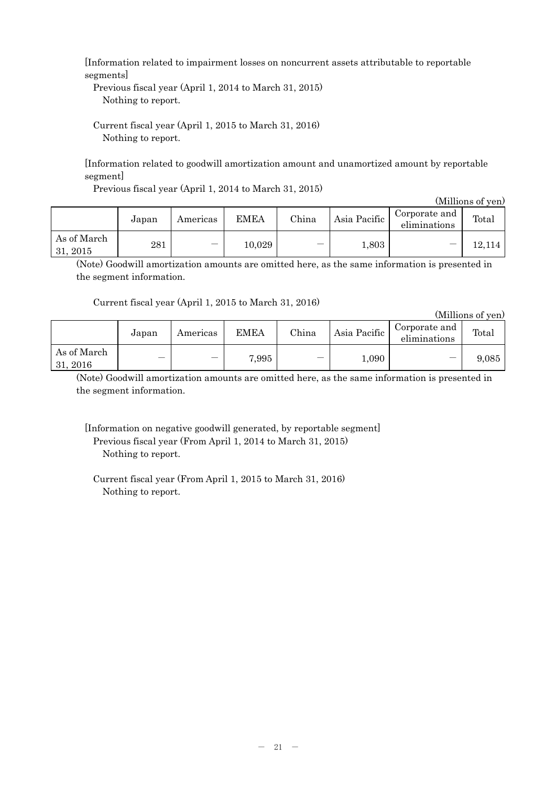[Information related to impairment losses on noncurrent assets attributable to reportable segments]

Previous fiscal year (April 1, 2014 to March 31, 2015) Nothing to report.

Current fiscal year (April 1, 2015 to March 31, 2016) Nothing to report.

[Information related to goodwill amortization amount and unamortized amount by reportable segment]

Previous fiscal year (April 1, 2014 to March 31, 2015)

|                         |       |                          |             |       |              |                               | (Millions of yen) |
|-------------------------|-------|--------------------------|-------------|-------|--------------|-------------------------------|-------------------|
|                         | Japan | Americas                 | <b>EMEA</b> | China | Asia Pacific | Corporate and<br>eliminations | Total             |
| As of March<br>31, 2015 | 281   | $\overline{\phantom{m}}$ | 10,029      |       | 1,803        | --                            | 12,114            |

(Note) Goodwill amortization amounts are omitted here, as the same information is presented in the segment information.

Current fiscal year (April 1, 2015 to March 31, 2016)

(Millions of yen)

|                         | Japan | Americas | <b>EMEA</b> | China | Asia Pacific | Corporate and<br>eliminations | Total |
|-------------------------|-------|----------|-------------|-------|--------------|-------------------------------|-------|
| As of March<br>31, 2016 |       |          | 7,995       |       | 1,090        | $\overline{\phantom{a}}$      | 9,085 |

(Note) Goodwill amortization amounts are omitted here, as the same information is presented in the segment information.

[Information on negative goodwill generated, by reportable segment] Previous fiscal year (From April 1, 2014 to March 31, 2015) Nothing to report.

Current fiscal year (From April 1, 2015 to March 31, 2016) Nothing to report.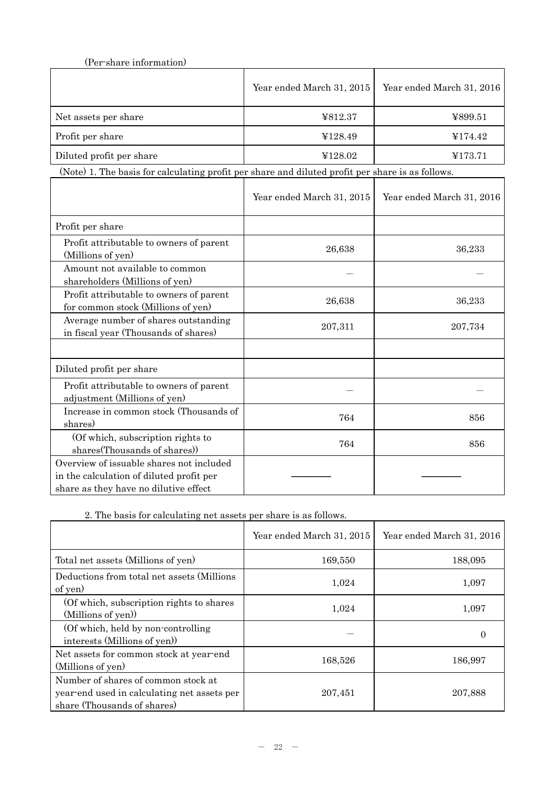| (Per-share information)  |                           |                           |
|--------------------------|---------------------------|---------------------------|
|                          | Year ended March 31, 2015 | Year ended March 31, 2016 |
| Net assets per share     | ¥812.37                   | ¥899.51                   |
| Profit per share         | ¥128.49                   | ¥174.42                   |
| Diluted profit per share | ¥128.02                   | ¥173.71                   |

(Note) 1. The basis for calculating profit per share and diluted profit per share is as follows.

|                                                                                                                               | Year ended March 31, 2015 | Year ended March 31, 2016 |
|-------------------------------------------------------------------------------------------------------------------------------|---------------------------|---------------------------|
| Profit per share                                                                                                              |                           |                           |
| Profit attributable to owners of parent<br>(Millions of yen)                                                                  | 26,638                    | 36,233                    |
| Amount not available to common<br>shareholders (Millions of yen)                                                              |                           |                           |
| Profit attributable to owners of parent<br>for common stock (Millions of yen)                                                 | 26,638                    | 36,233                    |
| Average number of shares outstanding<br>in fiscal year (Thousands of shares)                                                  | 207,311                   | 207,734                   |
|                                                                                                                               |                           |                           |
| Diluted profit per share                                                                                                      |                           |                           |
| Profit attributable to owners of parent<br>adjustment (Millions of yen)                                                       |                           |                           |
| Increase in common stock (Thousands of<br>shares)                                                                             | 764                       | 856                       |
| (Of which, subscription rights to<br>shares(Thousands of shares))                                                             | 764                       | 856                       |
| Overview of issuable shares not included<br>in the calculation of diluted profit per<br>share as they have no dilutive effect |                           |                           |

2. The basis for calculating net assets per share is as follows.

|                                                                                                                   | Year ended March 31, 2015 | Year ended March 31, 2016 |
|-------------------------------------------------------------------------------------------------------------------|---------------------------|---------------------------|
| Total net assets (Millions of yen)                                                                                | 169,550                   | 188,095                   |
| Deductions from total net assets (Millions<br>of yen)                                                             | 1,024                     | 1,097                     |
| (Of which, subscription rights to shares)<br>(Millions of yen))                                                   | 1,024                     | 1,097                     |
| (Of which, held by non-controlling)<br>interests (Millions of yen)                                                |                           |                           |
| Net assets for common stock at year-end<br>(Millions of yen)                                                      | 168,526                   | 186,997                   |
| Number of shares of common stock at<br>year-end used in calculating net assets per<br>share (Thousands of shares) | 207,451                   | 207,888                   |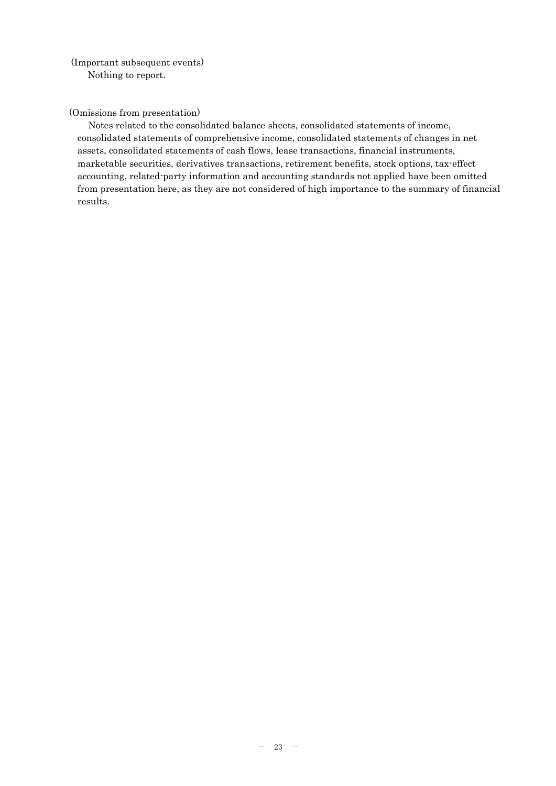(Important subsequent events) Nothing to report.

(Omissions from presentation)

Notes related to the consolidated balance sheets, consolidated statements of income, consolidated statements of comprehensive income, consolidated statements of changes in net assets, consolidated statements of cash flows, lease transactions, financial instruments, marketable securities, derivatives transactions, retirement benefits, stock options, tax-effect accounting, related-party information and accounting standards not applied have been omitted from presentation here, as they are not considered of high importance to the summary of financial results.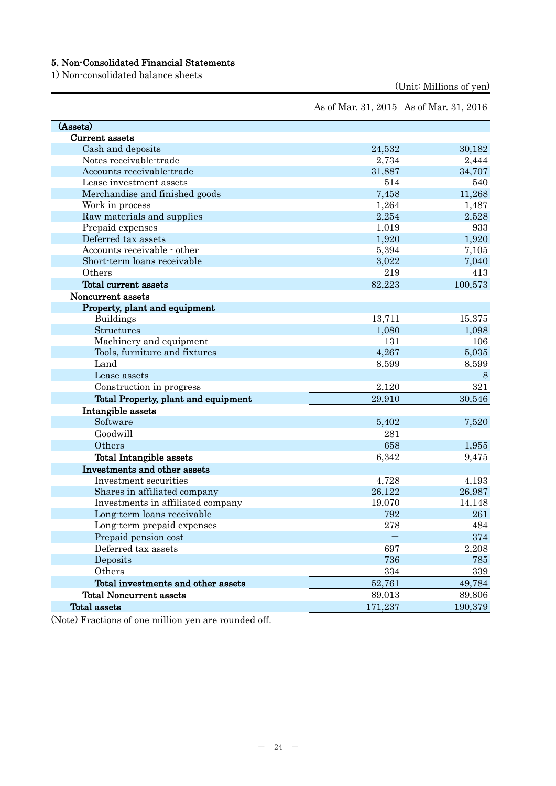# 5. Non-Consolidated Financial Statements

1) Non-consolidated balance sheets

(Unit: Millions of yen)

As of Mar. 31, 2015 As of Mar. 31, 2016

| (Assets)                            |         |         |
|-------------------------------------|---------|---------|
| Current assets                      |         |         |
| Cash and deposits                   | 24,532  | 30,182  |
| Notes receivable-trade              | 2,734   | 2,444   |
| Accounts receivable-trade           | 31,887  | 34,707  |
| Lease investment assets             | 514     | 540     |
| Merchandise and finished goods      | 7,458   | 11,268  |
| Work in process                     | 1,264   | 1,487   |
| Raw materials and supplies          | 2,254   | 2,528   |
| Prepaid expenses                    | 1,019   | 933     |
| Deferred tax assets                 | 1,920   | 1,920   |
| Accounts receivable - other         | 5,394   | 7,105   |
| Short-term loans receivable         | 3,022   | 7,040   |
| Others                              | 219     | 413     |
| Total current assets                | 82,223  | 100,573 |
| Noncurrent assets                   |         |         |
| Property, plant and equipment       |         |         |
| <b>Buildings</b>                    | 13,711  | 15,375  |
| Structures                          | 1,080   | 1,098   |
| Machinery and equipment             | 131     | 106     |
| Tools, furniture and fixtures       | 4,267   | 5,035   |
| Land                                | 8,599   | 8,599   |
| Lease assets                        |         | 8       |
| Construction in progress            | 2,120   | 321     |
| Total Property, plant and equipment | 29,910  | 30,546  |
| Intangible assets                   |         |         |
| Software                            | 5,402   | 7,520   |
| Goodwill                            | 281     |         |
| Others                              | 658     | 1,955   |
| Total Intangible assets             | 6,342   | 9,475   |
| Investments and other assets        |         |         |
| Investment securities               | 4,728   | 4,193   |
| Shares in affiliated company        | 26,122  | 26,987  |
| Investments in affiliated company   | 19,070  | 14,148  |
| Long-term loans receivable          | 792     | 261     |
| Long-term prepaid expenses          | 278     | 484     |
| Prepaid pension cost                |         | 374     |
| Deferred tax assets                 | 697     | 2,208   |
| Deposits                            | 736     | 785     |
| Others                              | 334     | 339     |
| Total investments and other assets  | 52,761  | 49,784  |
| <b>Total Noncurrent assets</b>      | 89,013  | 89,806  |
| Total assets                        | 171,237 | 190,379 |
|                                     |         |         |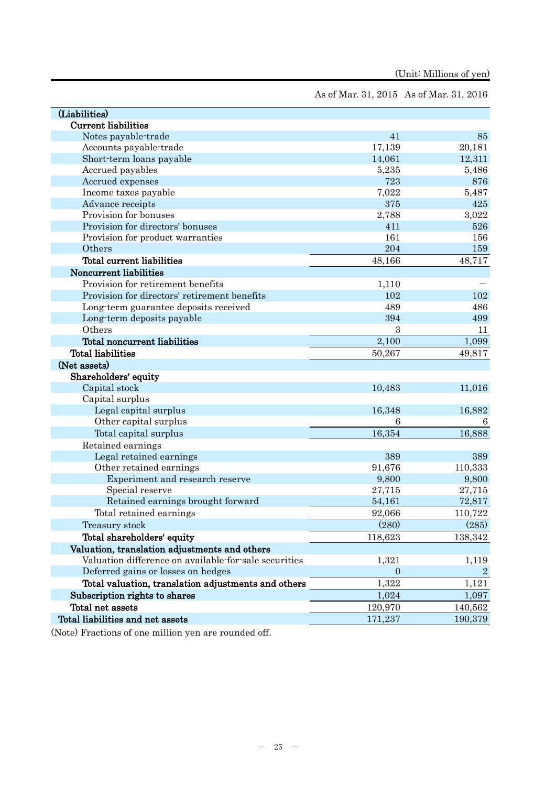As of Mar. 31, 2015 As of Mar. 31, 2016

| (Liabilities)                                         |          |                |
|-------------------------------------------------------|----------|----------------|
| <b>Current liabilities</b>                            |          |                |
| Notes payable-trade                                   | 41       | 85             |
| Accounts payable-trade                                | 17,139   | 20,181         |
| Short-term loans payable                              | 14,061   | 12,311         |
| Accrued payables                                      | 5,235    | 5,486          |
| Accrued expenses                                      | 723      | 876            |
| Income taxes payable                                  | 7,022    | 5,487          |
| Advance receipts                                      | 375      | 425            |
| Provision for bonuses                                 | 2,788    | 3,022          |
| Provision for directors' bonuses                      | 411      | 526            |
| Provision for product warranties                      | 161      | 156            |
| Others                                                | 204      | 159            |
| Total current liabilities                             | 48,166   | 48,717         |
| Noncurrent liabilities                                |          |                |
| Provision for retirement benefits                     | 1,110    |                |
| Provision for directors' retirement benefits          | 102      | 102            |
| Long-term guarantee deposits received                 | 489      | 486            |
| Long-term deposits payable                            | 394      | 499            |
| Others                                                | 3        | 11             |
| Total noncurrent liabilities                          | 2,100    | 1,099          |
| <b>Total liabilities</b>                              | 50,267   | 49,817         |
| (Net assets)                                          |          |                |
| Shareholders' equity                                  |          |                |
| Capital stock                                         | 10,483   | 11,016         |
| Capital surplus                                       |          |                |
| Legal capital surplus                                 | 16,348   | 16,882         |
| Other capital surplus                                 | 6        | 6              |
| Total capital surplus                                 | 16,354   | 16,888         |
| Retained earnings                                     |          |                |
| Legal retained earnings                               | 389      | 389            |
| Other retained earnings                               | 91,676   | 110,333        |
| Experiment and research reserve                       | 9,800    | 9,800          |
| Special reserve                                       | 27,715   | 27,715         |
| Retained earnings brought forward                     | 54,161   | 72,817         |
| Total retained earnings                               | 92,066   | 110,722        |
| Treasury stock                                        | (280)    | (285)          |
| Total shareholders' equity                            | 118,623  | 138,342        |
| Valuation, translation adjustments and others         |          |                |
| Valuation difference on available for sale securities | 1,321    | 1,119          |
| Deferred gains or losses on hedges                    | $\theta$ | $\overline{2}$ |
| Total valuation, translation adjustments and others   | 1,322    | 1,121          |
| Subscription rights to shares                         | 1,024    | 1,097          |
| Total net assets                                      | 120,970  | 140,562        |
| Total liabilities and net assets                      | 171,237  | 190,379        |
|                                                       |          |                |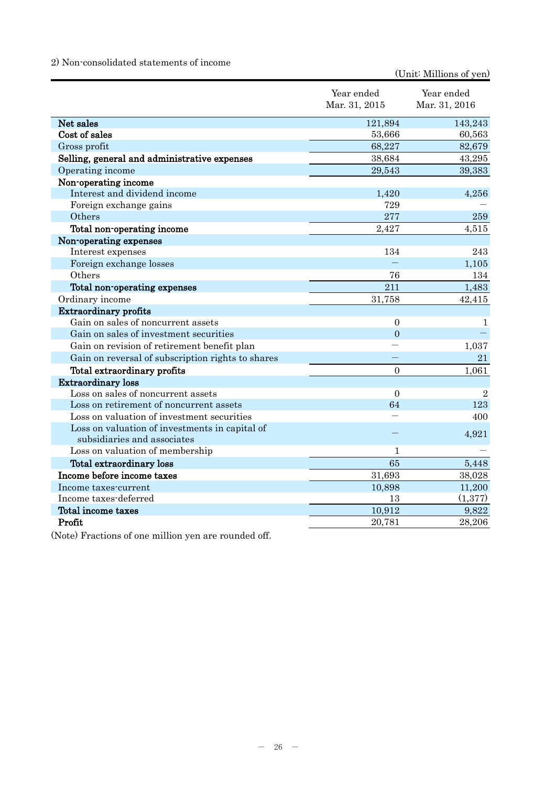# 2) Non-consolidated statements of income

(Unit: Millions of yen)

|                                                                               | Year ended<br>Mar. 31, 2015 | Year ended<br>Mar. 31, 2016 |
|-------------------------------------------------------------------------------|-----------------------------|-----------------------------|
| Net sales                                                                     | 121,894                     | 143,243                     |
| Cost of sales                                                                 | 53,666                      | 60,563                      |
| Gross profit                                                                  | 68,227                      | 82,679                      |
| Selling, general and administrative expenses                                  | 38,684                      | 43,295                      |
| Operating income                                                              | 29,543                      | 39,383                      |
| Non-operating income                                                          |                             |                             |
| Interest and dividend income                                                  | 1,420                       | 4,256                       |
| Foreign exchange gains                                                        | 729                         |                             |
| Others                                                                        | 277                         | 259                         |
| Total non-operating income                                                    | 2,427                       | 4,515                       |
| Non-operating expenses                                                        |                             |                             |
| Interest expenses                                                             | 134                         | 243                         |
| Foreign exchange losses                                                       |                             | 1,105                       |
| Others                                                                        | 76                          | 134                         |
| Total non-operating expenses                                                  | 211                         | 1,483                       |
| Ordinary income                                                               | 31,758                      | 42,415                      |
| <b>Extraordinary profits</b>                                                  |                             |                             |
| Gain on sales of noncurrent assets                                            | $\boldsymbol{0}$            | 1                           |
| Gain on sales of investment securities                                        | $\theta$                    |                             |
| Gain on revision of retirement benefit plan                                   |                             | 1,037                       |
| Gain on reversal of subscription rights to shares                             |                             | 21                          |
| Total extraordinary profits                                                   | $\overline{0}$              | 1,061                       |
| <b>Extraordinary loss</b>                                                     |                             |                             |
| Loss on sales of noncurrent assets                                            | $\overline{0}$              | $\overline{2}$              |
| Loss on retirement of noncurrent assets                                       | 64                          | 123                         |
| Loss on valuation of investment securities                                    |                             | 400                         |
| Loss on valuation of investments in capital of<br>subsidiaries and associates |                             | 4,921                       |
| Loss on valuation of membership                                               | 1                           |                             |
| Total extraordinary loss                                                      | 65                          | 5,448                       |
| Income before income taxes                                                    | 31,693                      | 38,028                      |
| Income taxes-current                                                          | 10,898                      | 11,200                      |
| Income taxes-deferred                                                         | 13                          | (1,377)                     |
| Total income taxes                                                            | 10,912                      | 9,822                       |
| Profit                                                                        | 20,781                      | 28,206                      |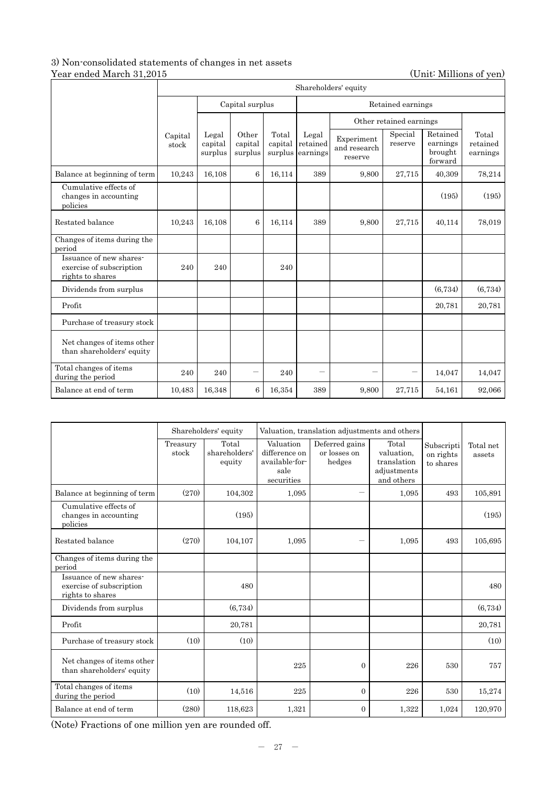### 3) Non-consolidated statements of changes in net assets Year ended March 31,2015 (Unit: Millions of yen)

|                                                                         | Shareholders' equity |                                      |                             |                             |                               |                                       |                    |                                            |                               |
|-------------------------------------------------------------------------|----------------------|--------------------------------------|-----------------------------|-----------------------------|-------------------------------|---------------------------------------|--------------------|--------------------------------------------|-------------------------------|
|                                                                         |                      | Capital surplus<br>Retained earnings |                             |                             |                               |                                       |                    |                                            |                               |
|                                                                         |                      | Other retained earnings              |                             |                             |                               |                                       |                    |                                            |                               |
|                                                                         | Capital<br>stock     | Legal<br>capital<br>surplus          | Other<br>capital<br>surplus | Total<br>capital<br>surplus | Legal<br>retained<br>earnings | Experiment<br>and research<br>reserve | Special<br>reserve | Retained<br>earnings<br>brought<br>forward | Total<br>retained<br>earnings |
| Balance at beginning of term                                            | 10,243               | 16,108                               | 6                           | 16,114                      | 389                           | 9,800                                 | 27,715             | 40,309                                     | 78,214                        |
| Cumulative effects of<br>changes in accounting<br>policies              |                      |                                      |                             |                             |                               |                                       |                    | (195)                                      | (195)                         |
| Restated balance                                                        | 10,243               | 16,108                               | 6                           | 16,114                      | 389                           | 9,800                                 | 27,715             | 40,114                                     | 78,019                        |
| Changes of items during the<br>period                                   |                      |                                      |                             |                             |                               |                                       |                    |                                            |                               |
| Issuance of new shares-<br>exercise of subscription<br>rights to shares | 240                  | 240                                  |                             | 240                         |                               |                                       |                    |                                            |                               |
| Dividends from surplus                                                  |                      |                                      |                             |                             |                               |                                       |                    | (6,734)                                    | (6,734)                       |
| Profit                                                                  |                      |                                      |                             |                             |                               |                                       |                    | 20,781                                     | 20.781                        |
| Purchase of treasury stock                                              |                      |                                      |                             |                             |                               |                                       |                    |                                            |                               |
| Net changes of items other<br>than shareholders' equity                 |                      |                                      |                             |                             |                               |                                       |                    |                                            |                               |
| Total changes of items<br>during the period                             | 240                  | 240                                  |                             | 240                         | $\overline{\phantom{0}}$      |                                       |                    | 14,047                                     | 14,047                        |
| Balance at end of term                                                  | 10,483               | 16.348                               | 6                           | 16,354                      | 389                           | 9,800                                 | 27,715             | 54,161                                     | 92,066                        |

|                                                                         |                   | Shareholders' equity             |                                                                    | Valuation, translation adjustments and others |                                                                 |                                      |                     |
|-------------------------------------------------------------------------|-------------------|----------------------------------|--------------------------------------------------------------------|-----------------------------------------------|-----------------------------------------------------------------|--------------------------------------|---------------------|
|                                                                         | Treasury<br>stock | Total<br>shareholders'<br>equity | Valuation<br>difference on<br>available-for-<br>sale<br>securities | Deferred gains<br>or losses on<br>hedges      | Total<br>valuation.<br>translation<br>adjustments<br>and others | Subscripti<br>on rights<br>to shares | Total net<br>assets |
| Balance at beginning of term                                            | (270)             | 104,302                          | 1,095                                                              |                                               | 1,095                                                           | 493                                  | 105,891             |
| Cumulative effects of<br>changes in accounting<br>policies              |                   | (195)                            |                                                                    |                                               |                                                                 |                                      | (195)               |
| Restated balance                                                        | (270)             | 104,107                          | 1,095                                                              |                                               | 1.095                                                           | 493                                  | 105,695             |
| Changes of items during the<br>period                                   |                   |                                  |                                                                    |                                               |                                                                 |                                      |                     |
| Issuance of new shares-<br>exercise of subscription<br>rights to shares |                   | 480                              |                                                                    |                                               |                                                                 |                                      | 480                 |
| Dividends from surplus                                                  |                   | (6,734)                          |                                                                    |                                               |                                                                 |                                      | (6,734)             |
| Profit                                                                  |                   | 20,781                           |                                                                    |                                               |                                                                 |                                      | 20,781              |
| Purchase of treasury stock                                              | (10)              | (10)                             |                                                                    |                                               |                                                                 |                                      | (10)                |
| Net changes of items other<br>than shareholders' equity                 |                   |                                  | 225                                                                | $\overline{0}$                                | 226                                                             | 530                                  | 757                 |
| Total changes of items<br>during the period                             | (10)              | 14,516                           | 225                                                                | $\overline{0}$                                | 226                                                             | 530                                  | 15,274              |
| Balance at end of term                                                  | (280)             | 118,623                          | 1,321                                                              | $\mathbf{0}$                                  | 1.322                                                           | 1,024                                | 120,970             |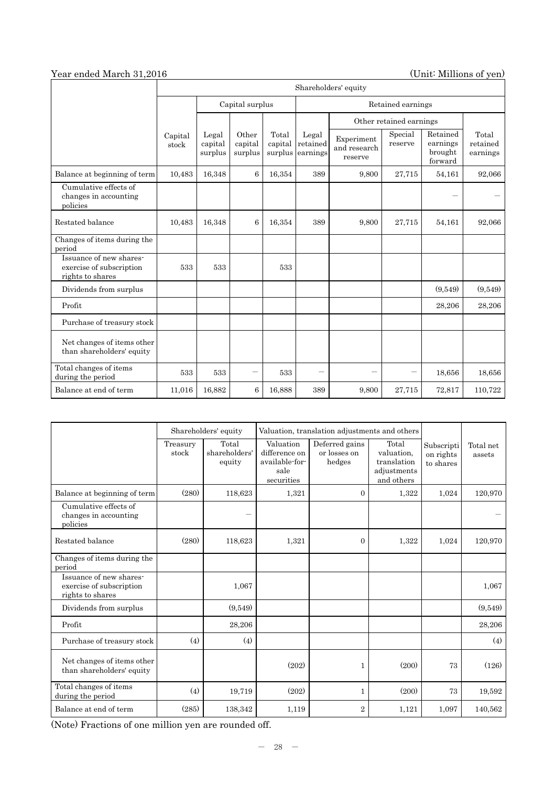# Year ended March 31,2016 (Unit: Millions of yen)

|                                                                         | Shareholders' equity |                             |                             |                             |                               |                                       |                         |                                            |                               |  |
|-------------------------------------------------------------------------|----------------------|-----------------------------|-----------------------------|-----------------------------|-------------------------------|---------------------------------------|-------------------------|--------------------------------------------|-------------------------------|--|
|                                                                         |                      |                             | Capital surplus             |                             |                               | Retained earnings                     |                         |                                            |                               |  |
|                                                                         |                      |                             |                             |                             |                               |                                       | Other retained earnings |                                            |                               |  |
|                                                                         | Capital<br>stock     | Legal<br>capital<br>surplus | Other<br>capital<br>surplus | Total<br>capital<br>surplus | Legal<br>retained<br>earnings | Experiment<br>and research<br>reserve | Special<br>reserve      | Retained<br>earnings<br>brought<br>forward | Total<br>retained<br>earnings |  |
| Balance at beginning of term                                            | 10,483               | 16,348                      | 6                           | 16,354                      | 389                           | 9,800                                 | 27,715                  | 54,161                                     | 92,066                        |  |
| Cumulative effects of<br>changes in accounting<br>policies              |                      |                             |                             |                             |                               |                                       |                         |                                            |                               |  |
| Restated balance                                                        | 10,483               | 16,348                      | 6                           | 16,354                      | 389                           | 9,800                                 | 27,715                  | 54,161                                     | 92,066                        |  |
| Changes of items during the<br>period                                   |                      |                             |                             |                             |                               |                                       |                         |                                            |                               |  |
| Issuance of new shares-<br>exercise of subscription<br>rights to shares | 533                  | 533                         |                             | 533                         |                               |                                       |                         |                                            |                               |  |
| Dividends from surplus                                                  |                      |                             |                             |                             |                               |                                       |                         | (9,549)                                    | (9,549)                       |  |
| Profit                                                                  |                      |                             |                             |                             |                               |                                       |                         | 28,206                                     | 28,206                        |  |
| Purchase of treasury stock                                              |                      |                             |                             |                             |                               |                                       |                         |                                            |                               |  |
| Net changes of items other<br>than shareholders' equity                 |                      |                             |                             |                             |                               |                                       |                         |                                            |                               |  |
| Total changes of items<br>during the period                             | 533                  | 533                         |                             | 533                         |                               |                                       |                         | 18,656                                     | 18.656                        |  |
| Balance at end of term                                                  | 11,016               | 16,882                      | 6                           | 16,888                      | 389                           | 9,800                                 | 27,715                  | 72,817                                     | 110,722                       |  |

|                                                                         | Shareholders' equity |                                  |                                                                    | Valuation, translation adjustments and others |                                                                 |                                      |                     |
|-------------------------------------------------------------------------|----------------------|----------------------------------|--------------------------------------------------------------------|-----------------------------------------------|-----------------------------------------------------------------|--------------------------------------|---------------------|
|                                                                         | Treasury<br>stock    | Total<br>shareholders'<br>equity | Valuation<br>difference on<br>available-for-<br>sale<br>securities | Deferred gains<br>or losses on<br>hedges      | Total<br>valuation.<br>translation<br>adjustments<br>and others | Subscripti<br>on rights<br>to shares | Total net<br>assets |
| Balance at beginning of term                                            | (280)                | 118,623                          | 1,321                                                              | $\Omega$                                      | 1,322                                                           | 1,024                                | 120,970             |
| Cumulative effects of<br>changes in accounting<br>policies              |                      | $\overline{\phantom{0}}$         |                                                                    |                                               |                                                                 |                                      |                     |
| Restated balance                                                        | (280)                | 118,623                          | 1,321                                                              | $\Omega$                                      | 1,322                                                           | 1,024                                | 120,970             |
| Changes of items during the<br>period                                   |                      |                                  |                                                                    |                                               |                                                                 |                                      |                     |
| Issuance of new shares-<br>exercise of subscription<br>rights to shares |                      | 1,067                            |                                                                    |                                               |                                                                 |                                      | 1,067               |
| Dividends from surplus                                                  |                      | (9,549)                          |                                                                    |                                               |                                                                 |                                      | (9,549)             |
| Profit                                                                  |                      | 28,206                           |                                                                    |                                               |                                                                 |                                      | 28,206              |
| Purchase of treasury stock                                              | (4)                  | (4)                              |                                                                    |                                               |                                                                 |                                      | (4)                 |
| Net changes of items other<br>than shareholders' equity                 |                      |                                  | (202)                                                              | 1                                             | (200)                                                           | 73                                   | (126)               |
| Total changes of items<br>during the period                             | (4)                  | 19,719                           | (202)                                                              | $\mathbf{1}$                                  | (200)                                                           | 73                                   | 19.592              |
| Balance at end of term                                                  | (285)                | 138,342                          | 1,119                                                              | $\overline{2}$                                | 1,121                                                           | 1,097                                | 140,562             |